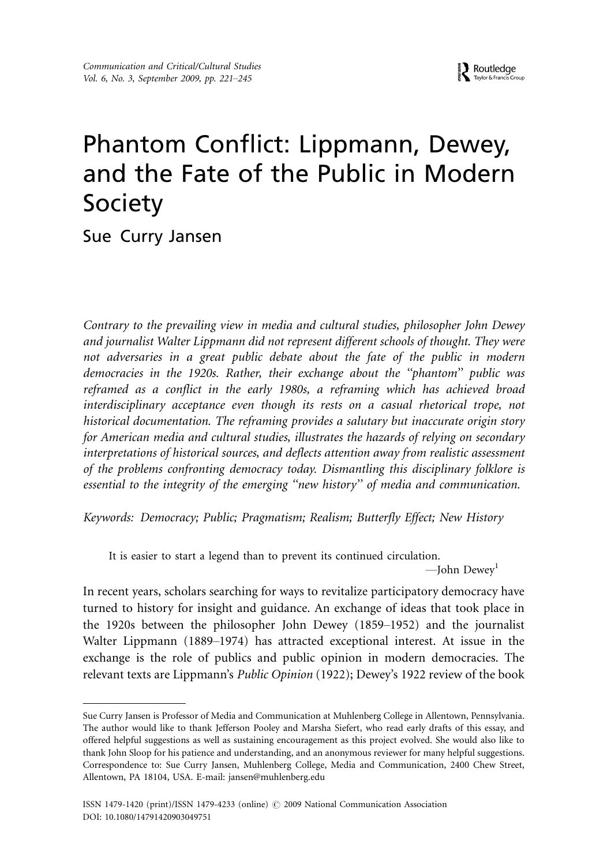# Phantom Conflict: Lippmann, Dewey, and the Fate of the Public in Modern Society

Sue Curry Jansen

Contrary to the prevailing view in media and cultural studies, philosopher John Dewey and journalist Walter Lippmann did not represent different schools of thought. They were not adversaries in a great public debate about the fate of the public in modern democracies in the 1920s. Rather, their exchange about the ''phantom'' public was reframed as a conflict in the early 1980s, a reframing which has achieved broad interdisciplinary acceptance even though its rests on a casual rhetorical trope, not historical documentation. The reframing provides a salutary but inaccurate origin story for American media and cultural studies, illustrates the hazards of relying on secondary interpretations of historical sources, and deflects attention away from realistic assessment of the problems confronting democracy today. Dismantling this disciplinary folklore is essential to the integrity of the emerging ''new history'' of media and communication.

Keywords: Democracy; Public; Pragmatism; Realism; Butterfly Effect; New History

It is easier to start a legend than to prevent its continued circulation.

-John Dewey<sup>1</sup>

In recent years, scholars searching for ways to revitalize participatory democracy have turned to history for insight and guidance. An exchange of ideas that took place in the 1920s between the philosopher John Dewey (1859-1952) and the journalist Walter Lippmann (1889-1974) has attracted exceptional interest. At issue in the exchange is the role of publics and public opinion in modern democracies. The relevant texts are Lippmann's Public Opinion (1922); Dewey's 1922 review of the book

Sue Curry Jansen is Professor of Media and Communication at Muhlenberg College in Allentown, Pennsylvania. The author would like to thank Jefferson Pooley and Marsha Siefert, who read early drafts of this essay, and offered helpful suggestions as well as sustaining encouragement as this project evolved. She would also like to thank John Sloop for his patience and understanding, and an anonymous reviewer for many helpful suggestions. Correspondence to: Sue Curry Jansen, Muhlenberg College, Media and Communication, 2400 Chew Street, Allentown, PA 18104, USA. E-mail: jansen@muhlenberg.edu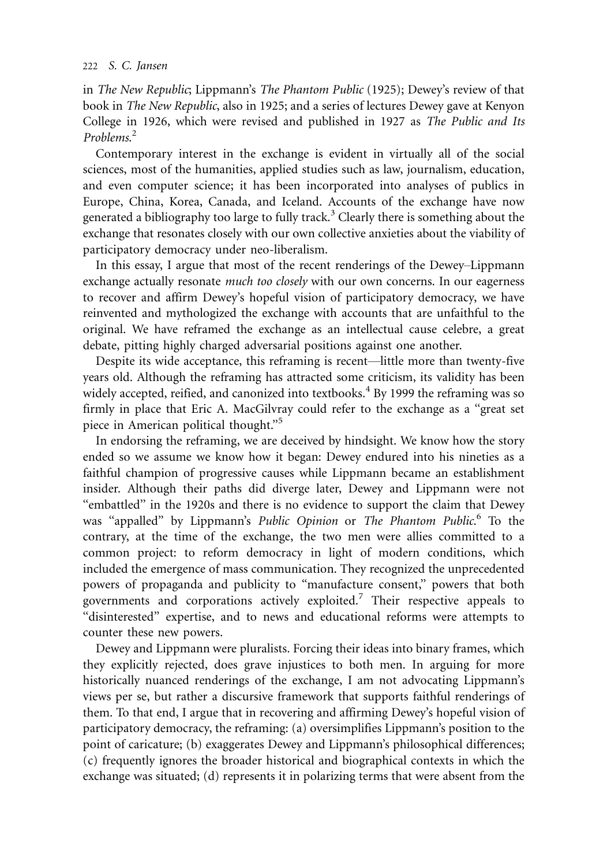in The New Republic; Lippmann's The Phantom Public (1925); Dewey's review of that book in The New Republic, also in 1925; and a series of lectures Dewey gave at Kenyon College in 1926, which were revised and published in 1927 as The Public and Its Problems. 2

Contemporary interest in the exchange is evident in virtually all of the social sciences, most of the humanities, applied studies such as law, journalism, education, and even computer science; it has been incorporated into analyses of publics in Europe, China, Korea, Canada, and Iceland. Accounts of the exchange have now generated a bibliography too large to fully track.<sup>3</sup> Clearly there is something about the exchange that resonates closely with our own collective anxieties about the viability of participatory democracy under neo-liberalism.

In this essay, I argue that most of the recent renderings of the Dewey-Lippmann exchange actually resonate *much too closely* with our own concerns. In our eagerness to recover and affirm Dewey's hopeful vision of participatory democracy, we have reinvented and mythologized the exchange with accounts that are unfaithful to the original. We have reframed the exchange as an intellectual cause celebre, a great debate, pitting highly charged adversarial positions against one another.

Despite its wide acceptance, this reframing is recent—little more than twenty-five years old. Although the reframing has attracted some criticism, its validity has been widely accepted, reified, and canonized into textbooks. $4$  By 1999 the reframing was so firmly in place that Eric A. MacGilvray could refer to the exchange as a ''great set piece in American political thought.''5

In endorsing the reframing, we are deceived by hindsight. We know how the story ended so we assume we know how it began: Dewey endured into his nineties as a faithful champion of progressive causes while Lippmann became an establishment insider. Although their paths did diverge later, Dewey and Lippmann were not "embattled" in the 1920s and there is no evidence to support the claim that Dewey was "appalled" by Lippmann's Public Opinion or The Phantom Public.<sup>6</sup> To the contrary, at the time of the exchange, the two men were allies committed to a common project: to reform democracy in light of modern conditions, which included the emergence of mass communication. They recognized the unprecedented powers of propaganda and publicity to ''manufacture consent,'' powers that both governments and corporations actively exploited.<sup>7</sup> Their respective appeals to "disinterested" expertise, and to news and educational reforms were attempts to counter these new powers.

Dewey and Lippmann were pluralists. Forcing their ideas into binary frames, which they explicitly rejected, does grave injustices to both men. In arguing for more historically nuanced renderings of the exchange, I am not advocating Lippmann's views per se, but rather a discursive framework that supports faithful renderings of them. To that end, I argue that in recovering and affirming Dewey's hopeful vision of participatory democracy, the reframing: (a) oversimplifies Lippmann's position to the point of caricature; (b) exaggerates Dewey and Lippmann's philosophical differences; (c) frequently ignores the broader historical and biographical contexts in which the exchange was situated; (d) represents it in polarizing terms that were absent from the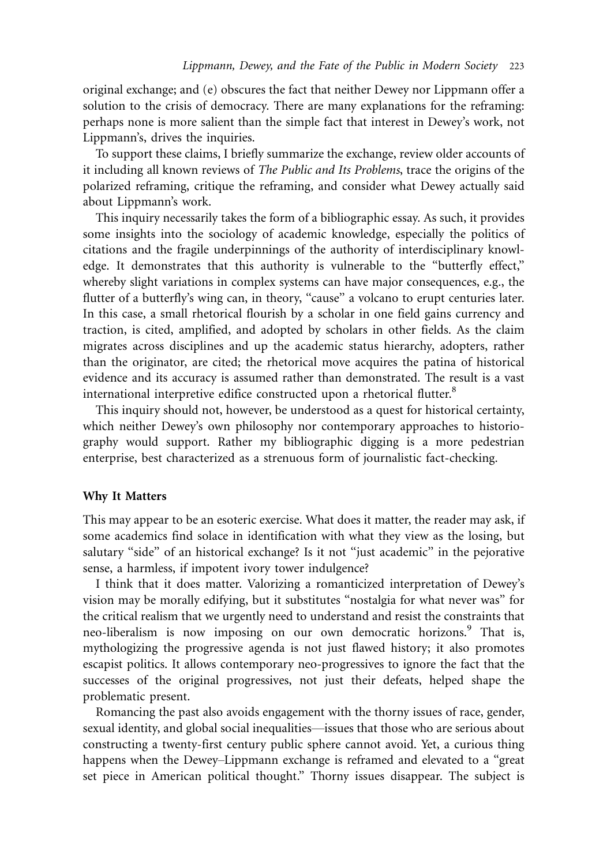original exchange; and (e) obscures the fact that neither Dewey nor Lippmann offer a solution to the crisis of democracy. There are many explanations for the reframing: perhaps none is more salient than the simple fact that interest in Dewey's work, not Lippmann's, drives the inquiries.

To support these claims, I briefly summarize the exchange, review older accounts of it including all known reviews of The Public and Its Problems, trace the origins of the polarized reframing, critique the reframing, and consider what Dewey actually said about Lippmann's work.

This inquiry necessarily takes the form of a bibliographic essay. As such, it provides some insights into the sociology of academic knowledge, especially the politics of citations and the fragile underpinnings of the authority of interdisciplinary knowledge. It demonstrates that this authority is vulnerable to the ''butterfly effect,'' whereby slight variations in complex systems can have major consequences, e.g., the flutter of a butterfly's wing can, in theory, "cause" a volcano to erupt centuries later. In this case, a small rhetorical flourish by a scholar in one field gains currency and traction, is cited, amplified, and adopted by scholars in other fields. As the claim migrates across disciplines and up the academic status hierarchy, adopters, rather than the originator, are cited; the rhetorical move acquires the patina of historical evidence and its accuracy is assumed rather than demonstrated. The result is a vast international interpretive edifice constructed upon a rhetorical flutter.<sup>8</sup>

This inquiry should not, however, be understood as a quest for historical certainty, which neither Dewey's own philosophy nor contemporary approaches to historiography would support. Rather my bibliographic digging is a more pedestrian enterprise, best characterized as a strenuous form of journalistic fact-checking.

## Why It Matters

This may appear to be an esoteric exercise. What does it matter, the reader may ask, if some academics find solace in identification with what they view as the losing, but salutary "side" of an historical exchange? Is it not "just academic" in the pejorative sense, a harmless, if impotent ivory tower indulgence?

I think that it does matter. Valorizing a romanticized interpretation of Dewey's vision may be morally edifying, but it substitutes ''nostalgia for what never was'' for the critical realism that we urgently need to understand and resist the constraints that neo-liberalism is now imposing on our own democratic horizons.<sup>9</sup> That is, mythologizing the progressive agenda is not just flawed history; it also promotes escapist politics. It allows contemporary neo-progressives to ignore the fact that the successes of the original progressives, not just their defeats, helped shape the problematic present.

Romancing the past also avoids engagement with the thorny issues of race, gender, sexual identity, and global social inequalities—issues that those who are serious about constructing a twenty-first century public sphere cannot avoid. Yet, a curious thing happens when the Dewey-Lippmann exchange is reframed and elevated to a ''great set piece in American political thought.'' Thorny issues disappear. The subject is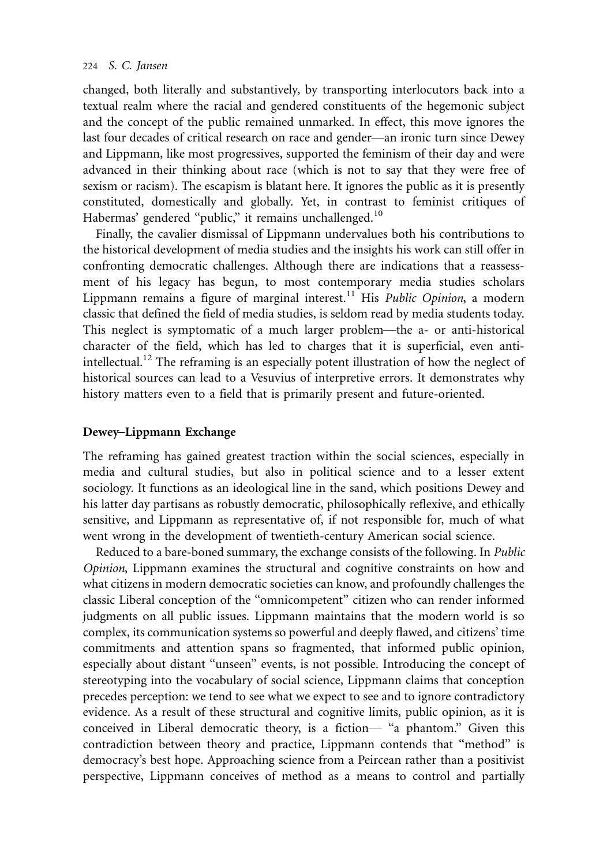changed, both literally and substantively, by transporting interlocutors back into a textual realm where the racial and gendered constituents of the hegemonic subject and the concept of the public remained unmarked. In effect, this move ignores the last four decades of critical research on race and gender—an ironic turn since Dewey and Lippmann, like most progressives, supported the feminism of their day and were advanced in their thinking about race (which is not to say that they were free of sexism or racism). The escapism is blatant here. It ignores the public as it is presently constituted, domestically and globally. Yet, in contrast to feminist critiques of Habermas' gendered "public," it remains unchallenged.<sup>10</sup>

Finally, the cavalier dismissal of Lippmann undervalues both his contributions to the historical development of media studies and the insights his work can still offer in confronting democratic challenges. Although there are indications that a reassessment of his legacy has begun, to most contemporary media studies scholars Lippmann remains a figure of marginal interest.<sup>11</sup> His Public Opinion, a modern classic that defined the field of media studies, is seldom read by media students today. This neglect is symptomatic of a much larger problem—the a- or anti-historical character of the field, which has led to charges that it is superficial, even antiintellectual.<sup>12</sup> The reframing is an especially potent illustration of how the neglect of historical sources can lead to a Vesuvius of interpretive errors. It demonstrates why history matters even to a field that is primarily present and future-oriented.

# Dewey-Lippmann Exchange

The reframing has gained greatest traction within the social sciences, especially in media and cultural studies, but also in political science and to a lesser extent sociology. It functions as an ideological line in the sand, which positions Dewey and his latter day partisans as robustly democratic, philosophically reflexive, and ethically sensitive, and Lippmann as representative of, if not responsible for, much of what went wrong in the development of twentieth-century American social science.

Reduced to a bare-boned summary, the exchange consists of the following. In Public Opinion, Lippmann examines the structural and cognitive constraints on how and what citizens in modern democratic societies can know, and profoundly challenges the classic Liberal conception of the ''omnicompetent'' citizen who can render informed judgments on all public issues. Lippmann maintains that the modern world is so complex, its communication systems so powerful and deeply flawed, and citizens' time commitments and attention spans so fragmented, that informed public opinion, especially about distant ''unseen'' events, is not possible. Introducing the concept of stereotyping into the vocabulary of social science, Lippmann claims that conception precedes perception: we tend to see what we expect to see and to ignore contradictory evidence. As a result of these structural and cognitive limits, public opinion, as it is conceived in Liberal democratic theory, is a fiction— "a phantom." Given this contradiction between theory and practice, Lippmann contends that ''method'' is democracy's best hope. Approaching science from a Peircean rather than a positivist perspective, Lippmann conceives of method as a means to control and partially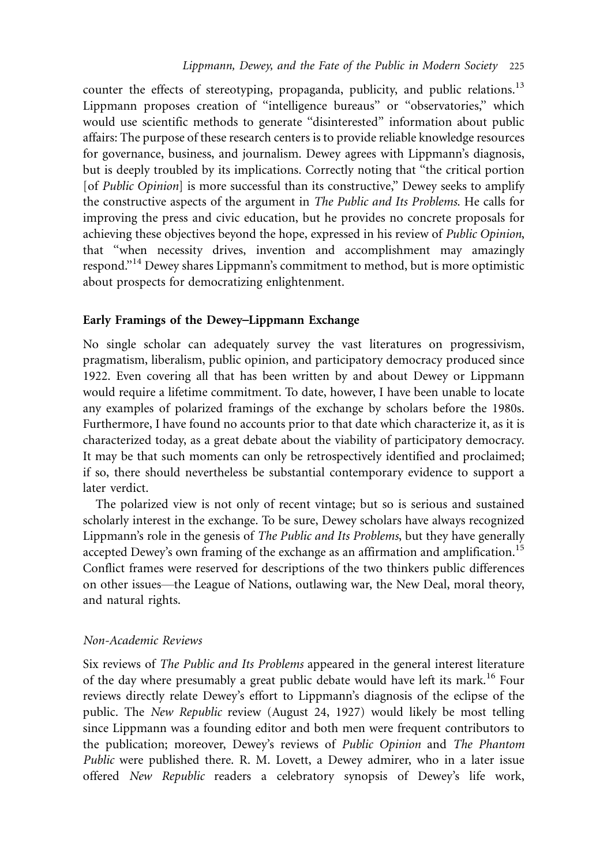counter the effects of stereotyping, propaganda, publicity, and public relations.<sup>13</sup> Lippmann proposes creation of ''intelligence bureaus'' or ''observatories,'' which would use scientific methods to generate ''disinterested'' information about public affairs: The purpose of these research centers is to provide reliable knowledge resources for governance, business, and journalism. Dewey agrees with Lippmann's diagnosis, but is deeply troubled by its implications. Correctly noting that ''the critical portion [of *Public Opinion*] is more successful than its constructive," Dewey seeks to amplify the constructive aspects of the argument in The Public and Its Problems. He calls for improving the press and civic education, but he provides no concrete proposals for achieving these objectives beyond the hope, expressed in his review of Public Opinion, that ''when necessity drives, invention and accomplishment may amazingly respond.''14 Dewey shares Lippmann's commitment to method, but is more optimistic about prospects for democratizing enlightenment.

# Early Framings of the Dewey-Lippmann Exchange

No single scholar can adequately survey the vast literatures on progressivism, pragmatism, liberalism, public opinion, and participatory democracy produced since 1922. Even covering all that has been written by and about Dewey or Lippmann would require a lifetime commitment. To date, however, I have been unable to locate any examples of polarized framings of the exchange by scholars before the 1980s. Furthermore, I have found no accounts prior to that date which characterize it, as it is characterized today, as a great debate about the viability of participatory democracy. It may be that such moments can only be retrospectively identified and proclaimed; if so, there should nevertheless be substantial contemporary evidence to support a later verdict.

The polarized view is not only of recent vintage; but so is serious and sustained scholarly interest in the exchange. To be sure, Dewey scholars have always recognized Lippmann's role in the genesis of *The Public and Its Problems*, but they have generally accepted Dewey's own framing of the exchange as an affirmation and amplification.<sup>15</sup> Conflict frames were reserved for descriptions of the two thinkers public differences on other issues—the League of Nations, outlawing war, the New Deal, moral theory, and natural rights.

#### Non-Academic Reviews

Six reviews of The Public and Its Problems appeared in the general interest literature of the day where presumably a great public debate would have left its mark.<sup>16</sup> Four reviews directly relate Dewey's effort to Lippmann's diagnosis of the eclipse of the public. The New Republic review (August 24, 1927) would likely be most telling since Lippmann was a founding editor and both men were frequent contributors to the publication; moreover, Dewey's reviews of Public Opinion and The Phantom Public were published there. R. M. Lovett, a Dewey admirer, who in a later issue offered New Republic readers a celebratory synopsis of Dewey's life work,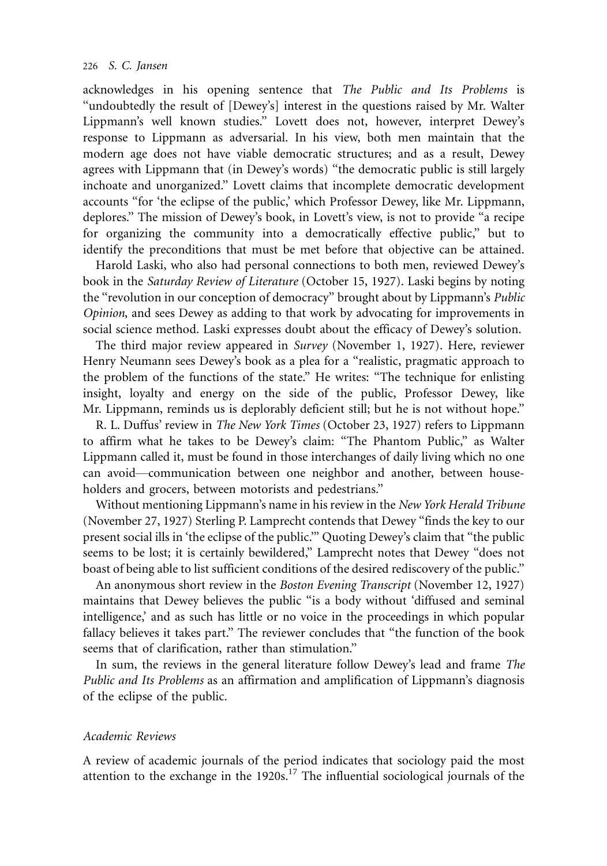acknowledges in his opening sentence that The Public and Its Problems is ''undoubtedly the result of [Dewey's] interest in the questions raised by Mr. Walter Lippmann's well known studies.'' Lovett does not, however, interpret Dewey's response to Lippmann as adversarial. In his view, both men maintain that the modern age does not have viable democratic structures; and as a result, Dewey agrees with Lippmann that (in Dewey's words) ''the democratic public is still largely inchoate and unorganized.'' Lovett claims that incomplete democratic development accounts ''for 'the eclipse of the public,' which Professor Dewey, like Mr. Lippmann, deplores.'' The mission of Dewey's book, in Lovett's view, is not to provide ''a recipe for organizing the community into a democratically effective public,'' but to identify the preconditions that must be met before that objective can be attained.

Harold Laski, who also had personal connections to both men, reviewed Dewey's book in the Saturday Review of Literature (October 15, 1927). Laski begins by noting the "revolution in our conception of democracy" brought about by Lippmann's Public Opinion, and sees Dewey as adding to that work by advocating for improvements in social science method. Laski expresses doubt about the efficacy of Dewey's solution.

The third major review appeared in Survey (November 1, 1927). Here, reviewer Henry Neumann sees Dewey's book as a plea for a ''realistic, pragmatic approach to the problem of the functions of the state.'' He writes: ''The technique for enlisting insight, loyalty and energy on the side of the public, Professor Dewey, like Mr. Lippmann, reminds us is deplorably deficient still; but he is not without hope.''

R. L. Duffus' review in The New York Times (October 23, 1927) refers to Lippmann to affirm what he takes to be Dewey's claim: ''The Phantom Public,'' as Walter Lippmann called it, must be found in those interchanges of daily living which no one can avoid—communication between one neighbor and another, between householders and grocers, between motorists and pedestrians.''

Without mentioning Lippmann's name in his review in the New York Herald Tribune (November 27, 1927) Sterling P. Lamprecht contends that Dewey ''finds the key to our present social ills in 'the eclipse of the public.''' Quoting Dewey's claim that ''the public seems to be lost; it is certainly bewildered,'' Lamprecht notes that Dewey ''does not boast of being able to list sufficient conditions of the desired rediscovery of the public.''

An anonymous short review in the Boston Evening Transcript (November 12, 1927) maintains that Dewey believes the public ''is a body without 'diffused and seminal intelligence,' and as such has little or no voice in the proceedings in which popular fallacy believes it takes part.'' The reviewer concludes that ''the function of the book seems that of clarification, rather than stimulation.''

In sum, the reviews in the general literature follow Dewey's lead and frame The Public and Its Problems as an affirmation and amplification of Lippmann's diagnosis of the eclipse of the public.

# Academic Reviews

A review of academic journals of the period indicates that sociology paid the most attention to the exchange in the  $1920s$ .<sup>17</sup> The influential sociological journals of the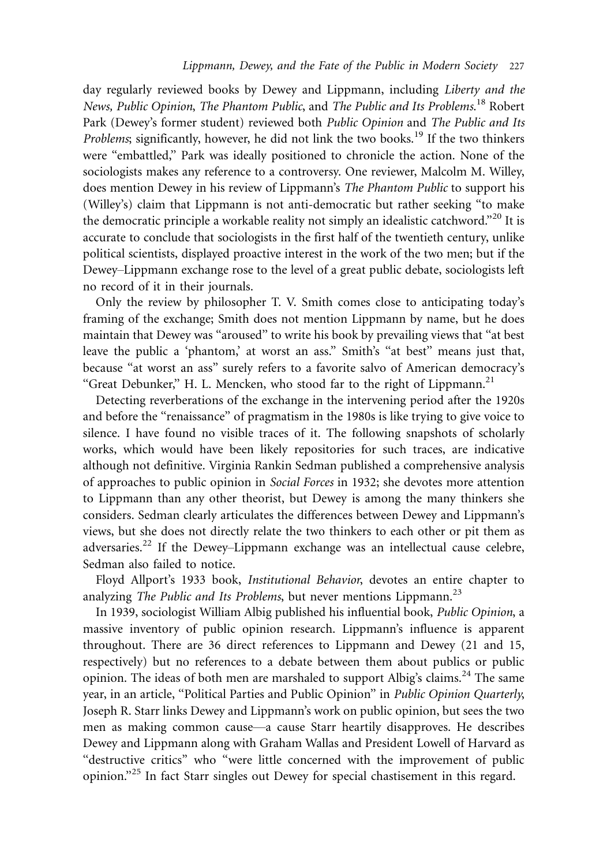day regularly reviewed books by Dewey and Lippmann, including Liberty and the News, Public Opinion, The Phantom Public, and The Public and Its Problems.<sup>18</sup> Robert Park (Dewey's former student) reviewed both Public Opinion and The Public and Its Problems; significantly, however, he did not link the two books.<sup>19</sup> If the two thinkers were ''embattled,'' Park was ideally positioned to chronicle the action. None of the sociologists makes any reference to a controversy. One reviewer, Malcolm M. Willey, does mention Dewey in his review of Lippmann's The Phantom Public to support his (Willey's) claim that Lippmann is not anti-democratic but rather seeking ''to make the democratic principle a workable reality not simply an idealistic catchword.<sup> $20$ </sup> It is accurate to conclude that sociologists in the first half of the twentieth century, unlike political scientists, displayed proactive interest in the work of the two men; but if the Dewey-Lippmann exchange rose to the level of a great public debate, sociologists left no record of it in their journals.

Only the review by philosopher T. V. Smith comes close to anticipating today's framing of the exchange; Smith does not mention Lippmann by name, but he does maintain that Dewey was "aroused" to write his book by prevailing views that "at best leave the public a 'phantom,' at worst an ass." Smith's "at best" means just that, because ''at worst an ass'' surely refers to a favorite salvo of American democracy's "Great Debunker," H. L. Mencken, who stood far to the right of Lippmann.<sup>21</sup>

Detecting reverberations of the exchange in the intervening period after the 1920s and before the ''renaissance'' of pragmatism in the 1980s is like trying to give voice to silence. I have found no visible traces of it. The following snapshots of scholarly works, which would have been likely repositories for such traces, are indicative although not definitive. Virginia Rankin Sedman published a comprehensive analysis of approaches to public opinion in Social Forces in 1932; she devotes more attention to Lippmann than any other theorist, but Dewey is among the many thinkers she considers. Sedman clearly articulates the differences between Dewey and Lippmann's views, but she does not directly relate the two thinkers to each other or pit them as adversaries.<sup>22</sup> If the Dewey-Lippmann exchange was an intellectual cause celebre, Sedman also failed to notice.

Floyd Allport's 1933 book, Institutional Behavior, devotes an entire chapter to analyzing The Public and Its Problems, but never mentions Lippmann.<sup>23</sup>

In 1939, sociologist William Albig published his influential book, Public Opinion, a massive inventory of public opinion research. Lippmann's influence is apparent throughout. There are 36 direct references to Lippmann and Dewey (21 and 15, respectively) but no references to a debate between them about publics or public opinion. The ideas of both men are marshaled to support Albig's claims.<sup>24</sup> The same year, in an article, "Political Parties and Public Opinion" in Public Opinion Quarterly, Joseph R. Starr links Dewey and Lippmann's work on public opinion, but sees the two men as making common cause-a cause Starr heartily disapproves. He describes Dewey and Lippmann along with Graham Wallas and President Lowell of Harvard as "destructive critics" who "were little concerned with the improvement of public opinion."<sup>25</sup> In fact Starr singles out Dewey for special chastisement in this regard.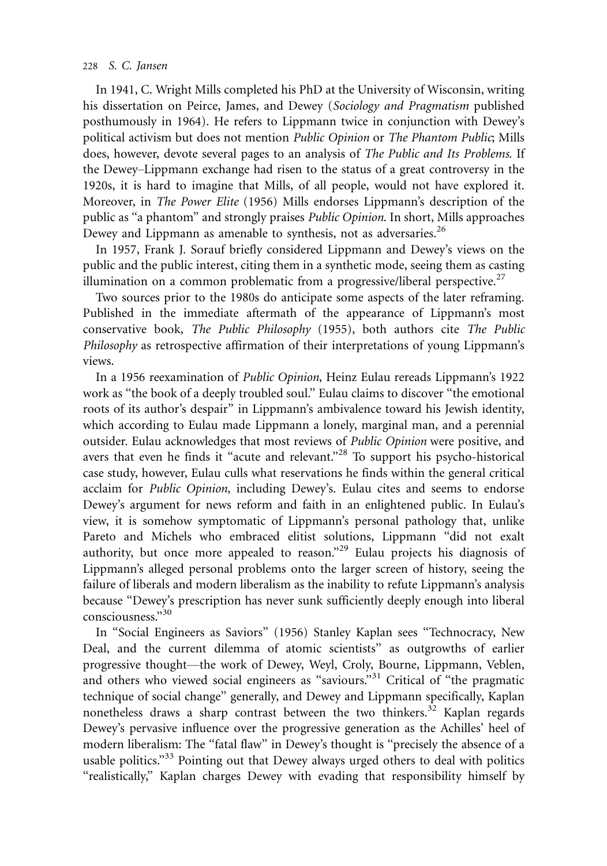In 1941, C. Wright Mills completed his PhD at the University of Wisconsin, writing his dissertation on Peirce, James, and Dewey (Sociology and Pragmatism published posthumously in 1964). He refers to Lippmann twice in conjunction with Dewey's political activism but does not mention Public Opinion or The Phantom Public; Mills does, however, devote several pages to an analysis of The Public and Its Problems. If the Dewey-Lippmann exchange had risen to the status of a great controversy in the 1920s, it is hard to imagine that Mills, of all people, would not have explored it. Moreover, in The Power Elite (1956) Mills endorses Lippmann's description of the public as ''a phantom'' and strongly praises Public Opinion. In short, Mills approaches Dewey and Lippmann as amenable to synthesis, not as adversaries.<sup>26</sup>

In 1957, Frank J. Sorauf briefly considered Lippmann and Dewey's views on the public and the public interest, citing them in a synthetic mode, seeing them as casting illumination on a common problematic from a progressive/liberal perspective.<sup>27</sup>

Two sources prior to the 1980s do anticipate some aspects of the later reframing. Published in the immediate aftermath of the appearance of Lippmann's most conservative book, The Public Philosophy (1955), both authors cite The Public Philosophy as retrospective affirmation of their interpretations of young Lippmann's views.

In a 1956 reexamination of Public Opinion, Heinz Eulau rereads Lippmann's 1922 work as ''the book of a deeply troubled soul.'' Eulau claims to discover ''the emotional roots of its author's despair'' in Lippmann's ambivalence toward his Jewish identity, which according to Eulau made Lippmann a lonely, marginal man, and a perennial outsider. Eulau acknowledges that most reviews of Public Opinion were positive, and avers that even he finds it "acute and relevant."<sup>28</sup> To support his psycho-historical case study, however, Eulau culls what reservations he finds within the general critical acclaim for Public Opinion, including Dewey's. Eulau cites and seems to endorse Dewey's argument for news reform and faith in an enlightened public. In Eulau's view, it is somehow symptomatic of Lippmann's personal pathology that, unlike Pareto and Michels who embraced elitist solutions, Lippmann ''did not exalt authority, but once more appealed to reason."<sup>29</sup> Eulau projects his diagnosis of Lippmann's alleged personal problems onto the larger screen of history, seeing the failure of liberals and modern liberalism as the inability to refute Lippmann's analysis because ''Dewey's prescription has never sunk sufficiently deeply enough into liberal consciousness."30

In ''Social Engineers as Saviors'' (1956) Stanley Kaplan sees ''Technocracy, New Deal, and the current dilemma of atomic scientists'' as outgrowths of earlier progressive thought—the work of Dewey, Weyl, Croly, Bourne, Lippmann, Veblen, and others who viewed social engineers as "saviours."<sup>31</sup> Critical of "the pragmatic technique of social change'' generally, and Dewey and Lippmann specifically, Kaplan nonetheless draws a sharp contrast between the two thinkers.<sup>32</sup> Kaplan regards Dewey's pervasive influence over the progressive generation as the Achilles' heel of modern liberalism: The ''fatal flaw'' in Dewey's thought is ''precisely the absence of a usable politics."<sup>33</sup> Pointing out that Dewey always urged others to deal with politics "realistically," Kaplan charges Dewey with evading that responsibility himself by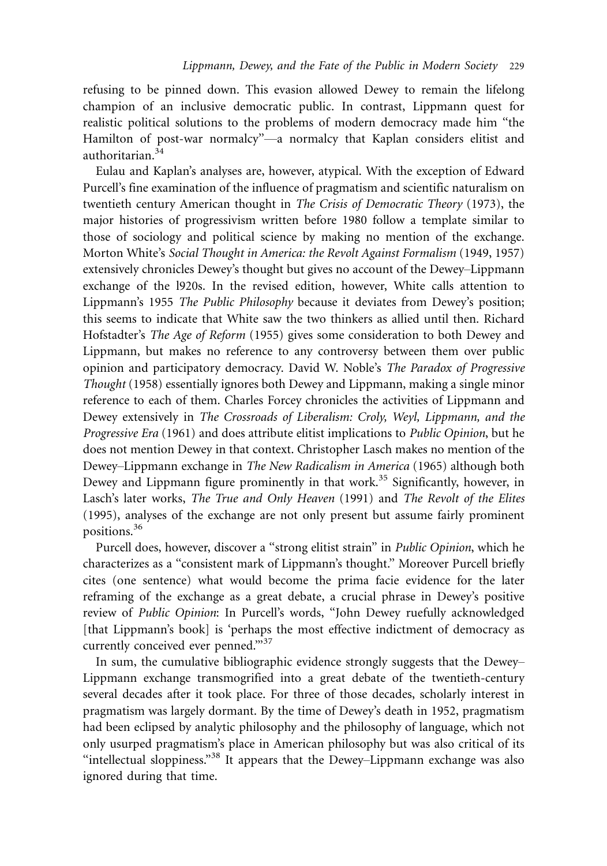refusing to be pinned down. This evasion allowed Dewey to remain the lifelong champion of an inclusive democratic public. In contrast, Lippmann quest for realistic political solutions to the problems of modern democracy made him ''the Hamilton of post-war normalcy"-a normalcy that Kaplan considers elitist and authoritarian.<sup>34</sup>

Eulau and Kaplan's analyses are, however, atypical. With the exception of Edward Purcell's fine examination of the influence of pragmatism and scientific naturalism on twentieth century American thought in The Crisis of Democratic Theory (1973), the major histories of progressivism written before 1980 follow a template similar to those of sociology and political science by making no mention of the exchange. Morton White's Social Thought in America: the Revolt Against Formalism (1949, 1957) extensively chronicles Dewey's thought but gives no account of the Dewey-Lippmann exchange of the l920s. In the revised edition, however, White calls attention to Lippmann's 1955 The Public Philosophy because it deviates from Dewey's position; this seems to indicate that White saw the two thinkers as allied until then. Richard Hofstadter's The Age of Reform (1955) gives some consideration to both Dewey and Lippmann, but makes no reference to any controversy between them over public opinion and participatory democracy. David W. Noble's The Paradox of Progressive Thought (1958) essentially ignores both Dewey and Lippmann, making a single minor reference to each of them. Charles Forcey chronicles the activities of Lippmann and Dewey extensively in The Crossroads of Liberalism: Croly, Weyl, Lippmann, and the Progressive Era (1961) and does attribute elitist implications to Public Opinion, but he does not mention Dewey in that context. Christopher Lasch makes no mention of the Dewey-Lippmann exchange in The New Radicalism in America (1965) although both Dewey and Lippmann figure prominently in that work.<sup>35</sup> Significantly, however, in Lasch's later works, The True and Only Heaven (1991) and The Revolt of the Elites (1995), analyses of the exchange are not only present but assume fairly prominent positions.<sup>36</sup>

Purcell does, however, discover a "strong elitist strain" in Public Opinion, which he characterizes as a ''consistent mark of Lippmann's thought.'' Moreover Purcell briefly cites (one sentence) what would become the prima facie evidence for the later reframing of the exchange as a great debate, a crucial phrase in Dewey's positive review of Public Opinion: In Purcell's words, ''John Dewey ruefully acknowledged [that Lippmann's book] is 'perhaps the most effective indictment of democracy as currently conceived ever penned."37

In sum, the cumulative bibliographic evidence strongly suggests that the Dewey- Lippmann exchange transmogrified into a great debate of the twentieth-century several decades after it took place. For three of those decades, scholarly interest in pragmatism was largely dormant. By the time of Dewey's death in 1952, pragmatism had been eclipsed by analytic philosophy and the philosophy of language, which not only usurped pragmatism's place in American philosophy but was also critical of its "intellectual sloppiness."<sup>38</sup> It appears that the Dewey-Lippmann exchange was also ignored during that time.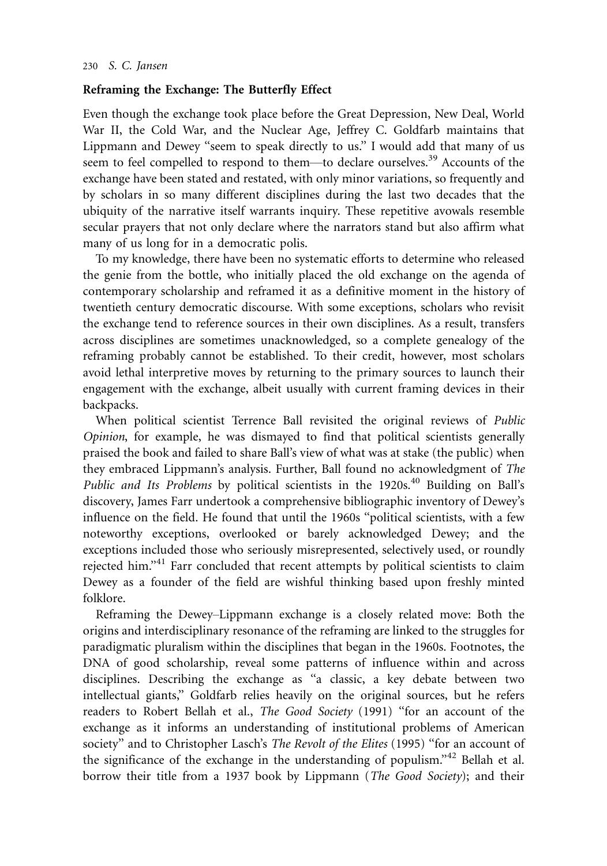#### Reframing the Exchange: The Butterfly Effect

Even though the exchange took place before the Great Depression, New Deal, World War II, the Cold War, and the Nuclear Age, Jeffrey C. Goldfarb maintains that Lippmann and Dewey ''seem to speak directly to us.'' I would add that many of us seem to feel compelled to respond to them—to declare ourselves.<sup>39</sup> Accounts of the exchange have been stated and restated, with only minor variations, so frequently and by scholars in so many different disciplines during the last two decades that the ubiquity of the narrative itself warrants inquiry. These repetitive avowals resemble secular prayers that not only declare where the narrators stand but also affirm what many of us long for in a democratic polis.

To my knowledge, there have been no systematic efforts to determine who released the genie from the bottle, who initially placed the old exchange on the agenda of contemporary scholarship and reframed it as a definitive moment in the history of twentieth century democratic discourse. With some exceptions, scholars who revisit the exchange tend to reference sources in their own disciplines. As a result, transfers across disciplines are sometimes unacknowledged, so a complete genealogy of the reframing probably cannot be established. To their credit, however, most scholars avoid lethal interpretive moves by returning to the primary sources to launch their engagement with the exchange, albeit usually with current framing devices in their backpacks.

When political scientist Terrence Ball revisited the original reviews of *Public* Opinion, for example, he was dismayed to find that political scientists generally praised the book and failed to share Ball's view of what was at stake (the public) when they embraced Lippmann's analysis. Further, Ball found no acknowledgment of The Public and Its Problems by political scientists in the 1920s.<sup>40</sup> Building on Ball's discovery, James Farr undertook a comprehensive bibliographic inventory of Dewey's influence on the field. He found that until the 1960s ''political scientists, with a few noteworthy exceptions, overlooked or barely acknowledged Dewey; and the exceptions included those who seriously misrepresented, selectively used, or roundly rejected him." $41$  Farr concluded that recent attempts by political scientists to claim Dewey as a founder of the field are wishful thinking based upon freshly minted folklore.

Reframing the Dewey-Lippmann exchange is a closely related move: Both the origins and interdisciplinary resonance of the reframing are linked to the struggles for paradigmatic pluralism within the disciplines that began in the 1960s. Footnotes, the DNA of good scholarship, reveal some patterns of influence within and across disciplines. Describing the exchange as ''a classic, a key debate between two intellectual giants,'' Goldfarb relies heavily on the original sources, but he refers readers to Robert Bellah et al., The Good Society (1991) ''for an account of the exchange as it informs an understanding of institutional problems of American society" and to Christopher Lasch's The Revolt of the Elites (1995) "for an account of the significance of the exchange in the understanding of populism.<sup>342</sup> Bellah et al. borrow their title from a 1937 book by Lippmann (The Good Society); and their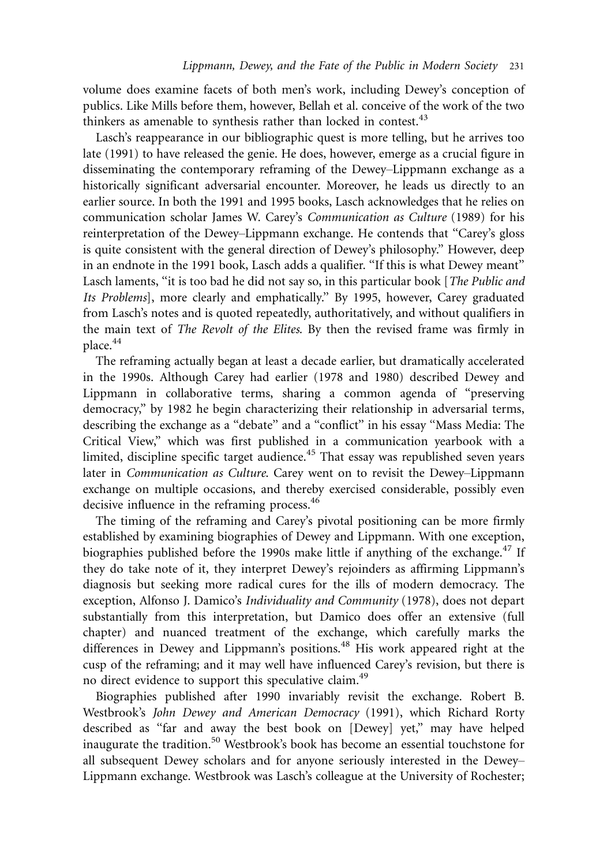volume does examine facets of both men's work, including Dewey's conception of publics. Like Mills before them, however, Bellah et al. conceive of the work of the two thinkers as amenable to synthesis rather than locked in contest.<sup>43</sup>

Lasch's reappearance in our bibliographic quest is more telling, but he arrives too late (1991) to have released the genie. He does, however, emerge as a crucial figure in disseminating the contemporary reframing of the Dewey-Lippmann exchange as a historically significant adversarial encounter. Moreover, he leads us directly to an earlier source. In both the 1991 and 1995 books, Lasch acknowledges that he relies on communication scholar James W. Carey's Communication as Culture (1989) for his reinterpretation of the Dewey-Lippmann exchange. He contends that ''Carey's gloss is quite consistent with the general direction of Dewey's philosophy.'' However, deep in an endnote in the 1991 book, Lasch adds a qualifier. ''If this is what Dewey meant'' Lasch laments, "it is too bad he did not say so, in this particular book [*The Public and* Its Problems], more clearly and emphatically.'' By 1995, however, Carey graduated from Lasch's notes and is quoted repeatedly, authoritatively, and without qualifiers in the main text of The Revolt of the Elites. By then the revised frame was firmly in place.<sup>44</sup>

The reframing actually began at least a decade earlier, but dramatically accelerated in the 1990s. Although Carey had earlier (1978 and 1980) described Dewey and Lippmann in collaborative terms, sharing a common agenda of ''preserving democracy,'' by 1982 he begin characterizing their relationship in adversarial terms, describing the exchange as a ''debate'' and a ''conflict'' in his essay ''Mass Media: The Critical View,'' which was first published in a communication yearbook with a limited, discipline specific target audience.<sup>45</sup> That essay was republished seven years later in Communication as Culture. Carey went on to revisit the Dewey-Lippmann exchange on multiple occasions, and thereby exercised considerable, possibly even decisive influence in the reframing process.<sup>46</sup>

The timing of the reframing and Carey's pivotal positioning can be more firmly established by examining biographies of Dewey and Lippmann. With one exception, biographies published before the 1990s make little if anything of the exchange. $47$  If they do take note of it, they interpret Dewey's rejoinders as affirming Lippmann's diagnosis but seeking more radical cures for the ills of modern democracy. The exception, Alfonso J. Damico's Individuality and Community (1978), does not depart substantially from this interpretation, but Damico does offer an extensive (full chapter) and nuanced treatment of the exchange, which carefully marks the differences in Dewey and Lippmann's positions.<sup>48</sup> His work appeared right at the cusp of the reframing; and it may well have influenced Carey's revision, but there is no direct evidence to support this speculative claim.<sup>49</sup>

Biographies published after 1990 invariably revisit the exchange. Robert B. Westbrook's John Dewey and American Democracy (1991), which Richard Rorty described as ''far and away the best book on [Dewey] yet,'' may have helped inaugurate the tradition.<sup>50</sup> Westbrook's book has become an essential touchstone for all subsequent Dewey scholars and for anyone seriously interested in the Dewey- Lippmann exchange. Westbrook was Lasch's colleague at the University of Rochester;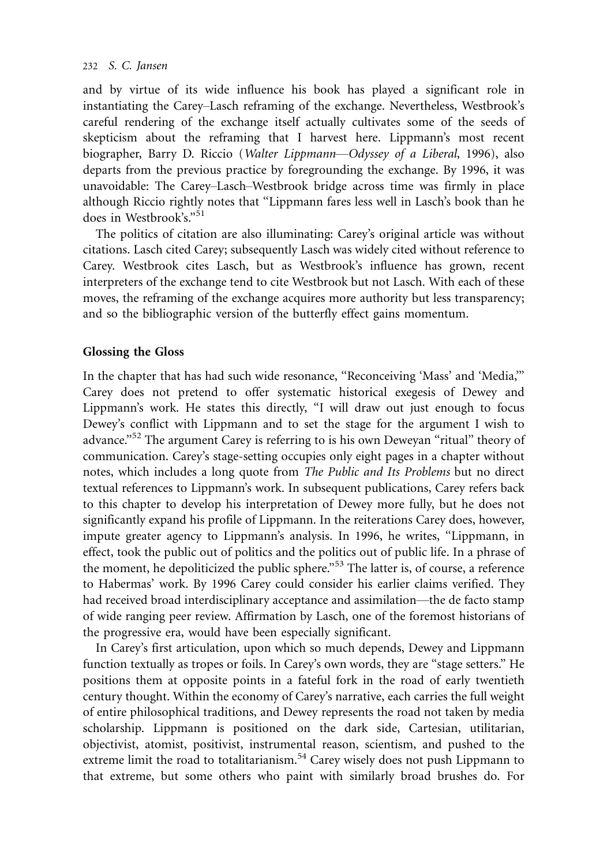and by virtue of its wide influence his book has played a significant role in instantiating the Carey-Lasch reframing of the exchange. Nevertheless, Westbrook's careful rendering of the exchange itself actually cultivates some of the seeds of skepticism about the reframing that I harvest here. Lippmann's most recent biographer, Barry D. Riccio (Walter Lippmann—Odyssey of a Liberal, 1996), also departs from the previous practice by foregrounding the exchange. By 1996, it was unavoidable: The Carey-Lasch-Westbrook bridge across time was firmly in place although Riccio rightly notes that ''Lippmann fares less well in Lasch's book than he does in Westbrook's."<sup>51</sup>

The politics of citation are also illuminating: Carey's original article was without citations. Lasch cited Carey; subsequently Lasch was widely cited without reference to Carey. Westbrook cites Lasch, but as Westbrook's influence has grown, recent interpreters of the exchange tend to cite Westbrook but not Lasch. With each of these moves, the reframing of the exchange acquires more authority but less transparency; and so the bibliographic version of the butterfly effect gains momentum.

### Glossing the Gloss

In the chapter that has had such wide resonance, ''Reconceiving 'Mass' and 'Media,''' Carey does not pretend to offer systematic historical exegesis of Dewey and Lippmann's work. He states this directly, ''I will draw out just enough to focus Dewey's conflict with Lippmann and to set the stage for the argument I wish to advance."<sup>52</sup> The argument Carey is referring to is his own Deweyan "ritual" theory of communication. Carey's stage-setting occupies only eight pages in a chapter without notes, which includes a long quote from The Public and Its Problems but no direct textual references to Lippmann's work. In subsequent publications, Carey refers back to this chapter to develop his interpretation of Dewey more fully, but he does not significantly expand his profile of Lippmann. In the reiterations Carey does, however, impute greater agency to Lippmann's analysis. In 1996, he writes, ''Lippmann, in effect, took the public out of politics and the politics out of public life. In a phrase of the moment, he depoliticized the public sphere."<sup>53</sup> The latter is, of course, a reference to Habermas' work. By 1996 Carey could consider his earlier claims verified. They had received broad interdisciplinary acceptance and assimilation—the de facto stamp of wide ranging peer review. Affirmation by Lasch, one of the foremost historians of the progressive era, would have been especially significant.

In Carey's first articulation, upon which so much depends, Dewey and Lippmann function textually as tropes or foils. In Carey's own words, they are "stage setters." He positions them at opposite points in a fateful fork in the road of early twentieth century thought. Within the economy of Carey's narrative, each carries the full weight of entire philosophical traditions, and Dewey represents the road not taken by media scholarship. Lippmann is positioned on the dark side, Cartesian, utilitarian, objectivist, atomist, positivist, instrumental reason, scientism, and pushed to the extreme limit the road to totalitarianism. $54$  Carey wisely does not push Lippmann to that extreme, but some others who paint with similarly broad brushes do. For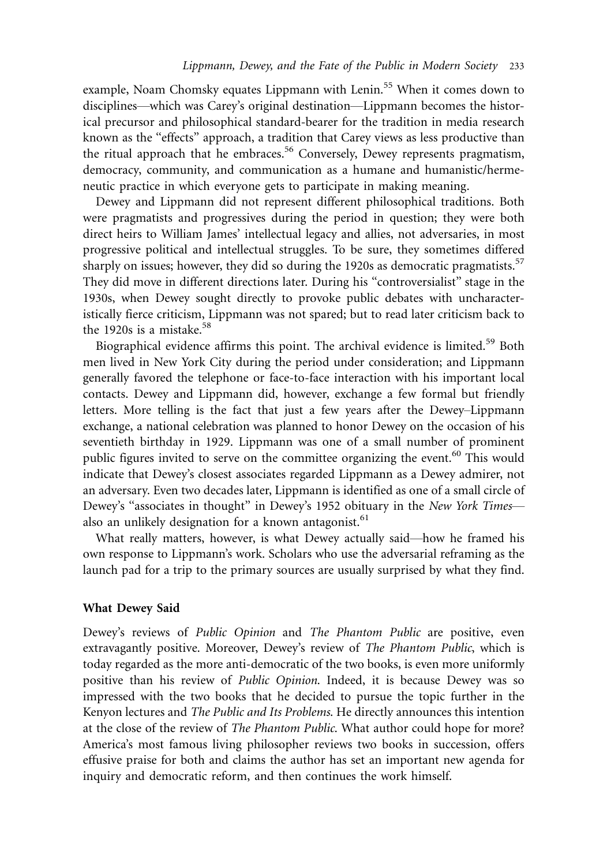example, Noam Chomsky equates Lippmann with Lenin.<sup>55</sup> When it comes down to disciplines—which was Carey's original destination—Lippmann becomes the historical precursor and philosophical standard-bearer for the tradition in media research known as the ''effects'' approach, a tradition that Carey views as less productive than the ritual approach that he embraces.<sup>56</sup> Conversely, Dewey represents pragmatism, democracy, community, and communication as a humane and humanistic/hermeneutic practice in which everyone gets to participate in making meaning.

Dewey and Lippmann did not represent different philosophical traditions. Both were pragmatists and progressives during the period in question; they were both direct heirs to William James' intellectual legacy and allies, not adversaries, in most progressive political and intellectual struggles. To be sure, they sometimes differed sharply on issues; however, they did so during the 1920s as democratic pragmatists.<sup>57</sup> They did move in different directions later. During his ''controversialist'' stage in the 1930s, when Dewey sought directly to provoke public debates with uncharacteristically fierce criticism, Lippmann was not spared; but to read later criticism back to the 1920s is a mistake.<sup>58</sup>

Biographical evidence affirms this point. The archival evidence is limited.<sup>59</sup> Both men lived in New York City during the period under consideration; and Lippmann generally favored the telephone or face-to-face interaction with his important local contacts. Dewey and Lippmann did, however, exchange a few formal but friendly letters. More telling is the fact that just a few years after the Dewey-Lippmann exchange, a national celebration was planned to honor Dewey on the occasion of his seventieth birthday in 1929. Lippmann was one of a small number of prominent public figures invited to serve on the committee organizing the event.<sup>60</sup> This would indicate that Dewey's closest associates regarded Lippmann as a Dewey admirer, not an adversary. Even two decades later, Lippmann is identified as one of a small circle of Dewey's "associates in thought" in Dewey's 1952 obituary in the New York Times also an unlikely designation for a known antagonist.<sup>61</sup>

What really matters, however, is what Dewey actually said—how he framed his own response to Lippmann's work. Scholars who use the adversarial reframing as the launch pad for a trip to the primary sources are usually surprised by what they find.

#### What Dewey Said

Dewey's reviews of Public Opinion and The Phantom Public are positive, even extravagantly positive. Moreover, Dewey's review of The Phantom Public, which is today regarded as the more anti-democratic of the two books, is even more uniformly positive than his review of Public Opinion. Indeed, it is because Dewey was so impressed with the two books that he decided to pursue the topic further in the Kenyon lectures and The Public and Its Problems. He directly announces this intention at the close of the review of The Phantom Public. What author could hope for more? America's most famous living philosopher reviews two books in succession, offers effusive praise for both and claims the author has set an important new agenda for inquiry and democratic reform, and then continues the work himself.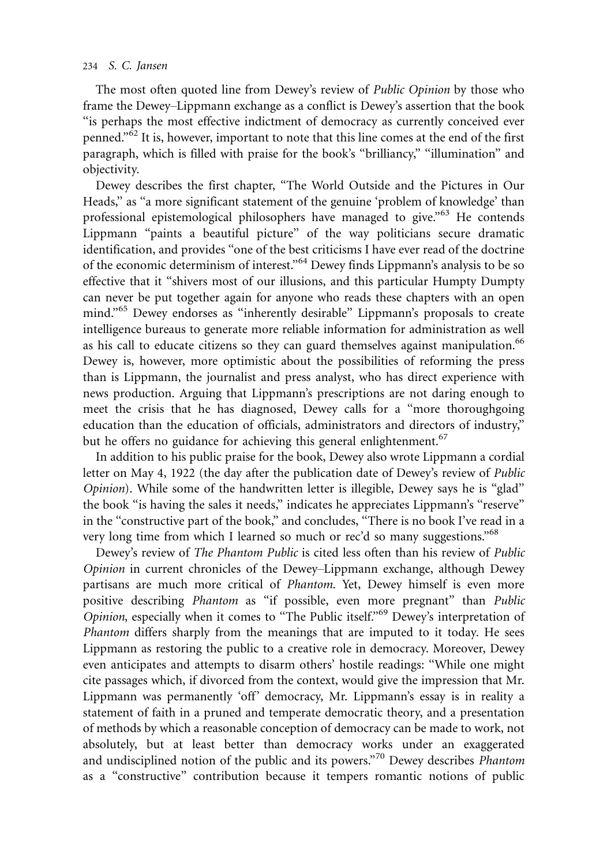The most often quoted line from Dewey's review of Public Opinion by those who frame the Dewey-Lippmann exchange as a conflict is Dewey's assertion that the book "is perhaps the most effective indictment of democracy as currently conceived ever penned."<sup>62</sup> It is, however, important to note that this line comes at the end of the first paragraph, which is filled with praise for the book's ''brilliancy,'' ''illumination'' and objectivity.

Dewey describes the first chapter, ''The World Outside and the Pictures in Our Heads," as "a more significant statement of the genuine 'problem of knowledge' than professional epistemological philosophers have managed to give."<sup>63</sup> He contends Lippmann ''paints a beautiful picture'' of the way politicians secure dramatic identification, and provides ''one of the best criticisms I have ever read of the doctrine of the economic determinism of interest.''64 Dewey finds Lippmann's analysis to be so effective that it ''shivers most of our illusions, and this particular Humpty Dumpty can never be put together again for anyone who reads these chapters with an open mind."<sup>65</sup> Dewey endorses as "inherently desirable" Lippmann's proposals to create intelligence bureaus to generate more reliable information for administration as well as his call to educate citizens so they can guard themselves against manipulation.<sup>66</sup> Dewey is, however, more optimistic about the possibilities of reforming the press than is Lippmann, the journalist and press analyst, who has direct experience with news production. Arguing that Lippmann's prescriptions are not daring enough to meet the crisis that he has diagnosed, Dewey calls for a ''more thoroughgoing education than the education of officials, administrators and directors of industry,'' but he offers no guidance for achieving this general enlightenment.<sup>67</sup>

In addition to his public praise for the book, Dewey also wrote Lippmann a cordial letter on May 4, 1922 (the day after the publication date of Dewey's review of Public Opinion). While some of the handwritten letter is illegible, Dewey says he is ''glad'' the book ''is having the sales it needs,'' indicates he appreciates Lippmann's ''reserve'' in the ''constructive part of the book,'' and concludes, ''There is no book I've read in a very long time from which I learned so much or rec'd so many suggestions."<sup>68</sup>

Dewey's review of The Phantom Public is cited less often than his review of Public Opinion in current chronicles of the Dewey-Lippmann exchange, although Dewey partisans are much more critical of Phantom. Yet, Dewey himself is even more positive describing Phantom as "if possible, even more pregnant" than Public Opinion, especially when it comes to "The Public itself."<sup>69</sup> Dewey's interpretation of Phantom differs sharply from the meanings that are imputed to it today. He sees Lippmann as restoring the public to a creative role in democracy. Moreover, Dewey even anticipates and attempts to disarm others' hostile readings: ''While one might cite passages which, if divorced from the context, would give the impression that Mr. Lippmann was permanently 'off' democracy, Mr. Lippmann's essay is in reality a statement of faith in a pruned and temperate democratic theory, and a presentation of methods by which a reasonable conception of democracy can be made to work, not absolutely, but at least better than democracy works under an exaggerated and undisciplined notion of the public and its powers."<sup>70</sup> Dewey describes *Phantom* as a ''constructive'' contribution because it tempers romantic notions of public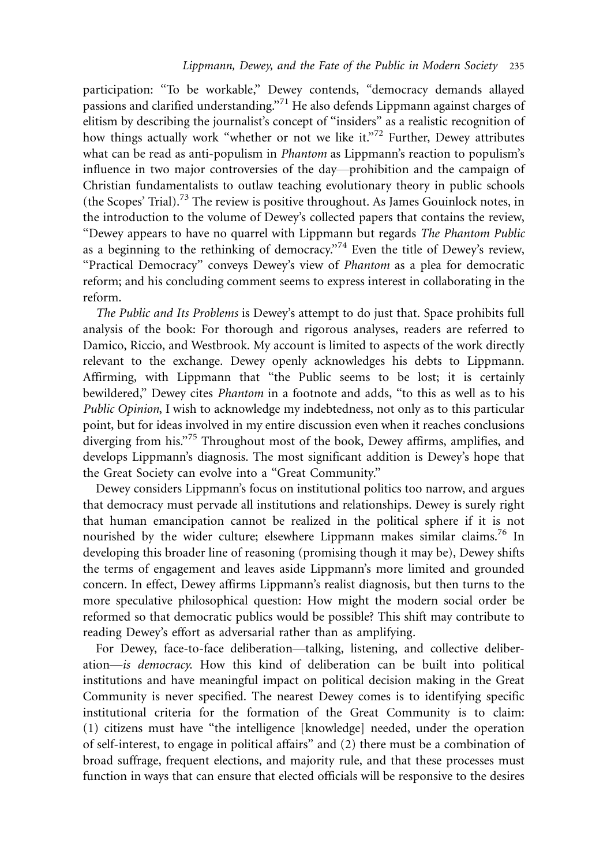participation: ''To be workable,'' Dewey contends, ''democracy demands allayed passions and clarified understanding."<sup>71</sup> He also defends Lippmann against charges of elitism by describing the journalist's concept of ''insiders'' as a realistic recognition of how things actually work "whether or not we like it."<sup>72</sup> Further, Dewey attributes what can be read as anti-populism in *Phantom* as Lippmann's reaction to populism's influence in two major controversies of the day—prohibition and the campaign of Christian fundamentalists to outlaw teaching evolutionary theory in public schools (the Scopes' Trial).<sup>73</sup> The review is positive throughout. As James Gouinlock notes, in the introduction to the volume of Dewey's collected papers that contains the review, ''Dewey appears to have no quarrel with Lippmann but regards The Phantom Public as a beginning to the rethinking of democracy.<sup> $374$ </sup> Even the title of Dewey's review, ''Practical Democracy'' conveys Dewey's view of Phantom as a plea for democratic reform; and his concluding comment seems to express interest in collaborating in the reform.

The Public and Its Problems is Dewey's attempt to do just that. Space prohibits full analysis of the book: For thorough and rigorous analyses, readers are referred to Damico, Riccio, and Westbrook. My account is limited to aspects of the work directly relevant to the exchange. Dewey openly acknowledges his debts to Lippmann. Affirming, with Lippmann that ''the Public seems to be lost; it is certainly bewildered,'' Dewey cites Phantom in a footnote and adds, ''to this as well as to his Public Opinion, I wish to acknowledge my indebtedness, not only as to this particular point, but for ideas involved in my entire discussion even when it reaches conclusions diverging from his."<sup>75</sup> Throughout most of the book, Dewey affirms, amplifies, and develops Lippmann's diagnosis. The most significant addition is Dewey's hope that the Great Society can evolve into a ''Great Community.''

Dewey considers Lippmann's focus on institutional politics too narrow, and argues that democracy must pervade all institutions and relationships. Dewey is surely right that human emancipation cannot be realized in the political sphere if it is not nourished by the wider culture; elsewhere Lippmann makes similar claims.<sup>76</sup> In developing this broader line of reasoning (promising though it may be), Dewey shifts the terms of engagement and leaves aside Lippmann's more limited and grounded concern. In effect, Dewey affirms Lippmann's realist diagnosis, but then turns to the more speculative philosophical question: How might the modern social order be reformed so that democratic publics would be possible? This shift may contribute to reading Dewey's effort as adversarial rather than as amplifying.

For Dewey, face-to-face deliberation—talking, listening, and collective deliberation—is democracy. How this kind of deliberation can be built into political institutions and have meaningful impact on political decision making in the Great Community is never specified. The nearest Dewey comes is to identifying specific institutional criteria for the formation of the Great Community is to claim: (1) citizens must have ''the intelligence [knowledge] needed, under the operation of self-interest, to engage in political affairs'' and (2) there must be a combination of broad suffrage, frequent elections, and majority rule, and that these processes must function in ways that can ensure that elected officials will be responsive to the desires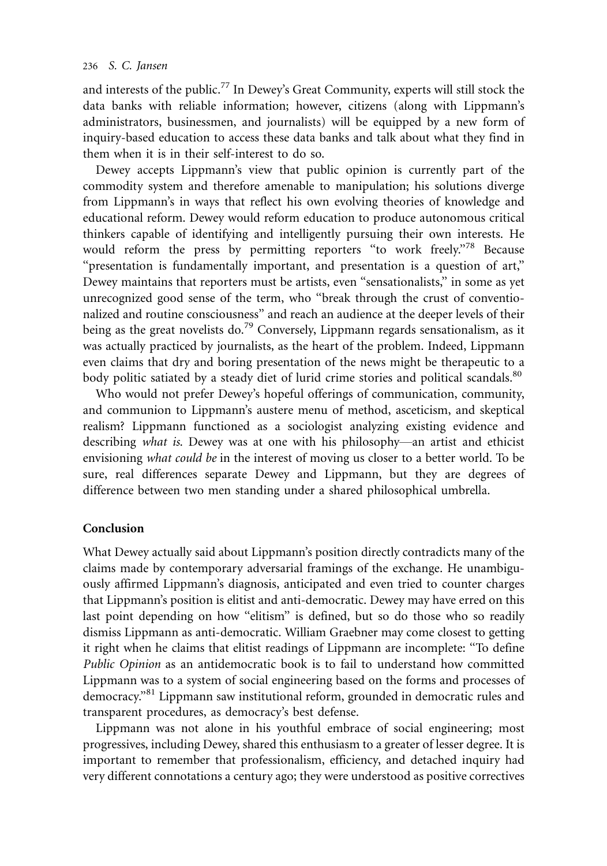and interests of the public.<sup>77</sup> In Dewey's Great Community, experts will still stock the data banks with reliable information; however, citizens (along with Lippmann's administrators, businessmen, and journalists) will be equipped by a new form of inquiry-based education to access these data banks and talk about what they find in them when it is in their self-interest to do so.

Dewey accepts Lippmann's view that public opinion is currently part of the commodity system and therefore amenable to manipulation; his solutions diverge from Lippmann's in ways that reflect his own evolving theories of knowledge and educational reform. Dewey would reform education to produce autonomous critical thinkers capable of identifying and intelligently pursuing their own interests. He would reform the press by permitting reporters "to work freely."<sup>78</sup> Because ''presentation is fundamentally important, and presentation is a question of art,'' Dewey maintains that reporters must be artists, even ''sensationalists,'' in some as yet unrecognized good sense of the term, who ''break through the crust of conventionalized and routine consciousness'' and reach an audience at the deeper levels of their being as the great novelists do.<sup>79</sup> Conversely, Lippmann regards sensationalism, as it was actually practiced by journalists, as the heart of the problem. Indeed, Lippmann even claims that dry and boring presentation of the news might be therapeutic to a body politic satiated by a steady diet of lurid crime stories and political scandals.<sup>80</sup>

Who would not prefer Dewey's hopeful offerings of communication, community, and communion to Lippmann's austere menu of method, asceticism, and skeptical realism? Lippmann functioned as a sociologist analyzing existing evidence and describing what is. Dewey was at one with his philosophy-an artist and ethicist envisioning *what could be* in the interest of moving us closer to a better world. To be sure, real differences separate Dewey and Lippmann, but they are degrees of difference between two men standing under a shared philosophical umbrella.

# Conclusion

What Dewey actually said about Lippmann's position directly contradicts many of the claims made by contemporary adversarial framings of the exchange. He unambiguously affirmed Lippmann's diagnosis, anticipated and even tried to counter charges that Lippmann's position is elitist and anti-democratic. Dewey may have erred on this last point depending on how "elitism" is defined, but so do those who so readily dismiss Lippmann as anti-democratic. William Graebner may come closest to getting it right when he claims that elitist readings of Lippmann are incomplete: ''To define Public Opinion as an antidemocratic book is to fail to understand how committed Lippmann was to a system of social engineering based on the forms and processes of democracy."<sup>81</sup> Lippmann saw institutional reform, grounded in democratic rules and transparent procedures, as democracy's best defense.

Lippmann was not alone in his youthful embrace of social engineering; most progressives, including Dewey, shared this enthusiasm to a greater of lesser degree. It is important to remember that professionalism, efficiency, and detached inquiry had very different connotations a century ago; they were understood as positive correctives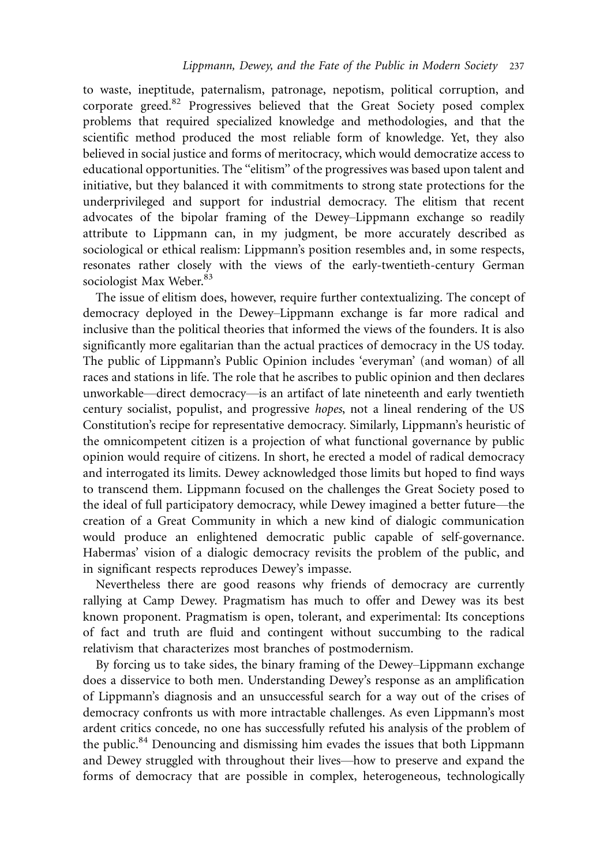to waste, ineptitude, paternalism, patronage, nepotism, political corruption, and corporate greed. $82$  Progressives believed that the Great Society posed complex problems that required specialized knowledge and methodologies, and that the scientific method produced the most reliable form of knowledge. Yet, they also believed in social justice and forms of meritocracy, which would democratize access to educational opportunities. The ''elitism'' of the progressives was based upon talent and initiative, but they balanced it with commitments to strong state protections for the underprivileged and support for industrial democracy. The elitism that recent advocates of the bipolar framing of the Dewey-Lippmann exchange so readily attribute to Lippmann can, in my judgment, be more accurately described as sociological or ethical realism: Lippmann's position resembles and, in some respects, resonates rather closely with the views of the early-twentieth-century German sociologist Max Weber.<sup>83</sup>

The issue of elitism does, however, require further contextualizing. The concept of democracy deployed in the Dewey-Lippmann exchange is far more radical and inclusive than the political theories that informed the views of the founders. It is also significantly more egalitarian than the actual practices of democracy in the US today. The public of Lippmann's Public Opinion includes 'everyman' (and woman) of all races and stations in life. The role that he ascribes to public opinion and then declares unworkable—direct democracy—is an artifact of late nineteenth and early twentieth century socialist, populist, and progressive hopes, not a lineal rendering of the US Constitution's recipe for representative democracy. Similarly, Lippmann's heuristic of the omnicompetent citizen is a projection of what functional governance by public opinion would require of citizens. In short, he erected a model of radical democracy and interrogated its limits. Dewey acknowledged those limits but hoped to find ways to transcend them. Lippmann focused on the challenges the Great Society posed to the ideal of full participatory democracy, while Dewey imagined a better future—the creation of a Great Community in which a new kind of dialogic communication would produce an enlightened democratic public capable of self-governance. Habermas' vision of a dialogic democracy revisits the problem of the public, and in significant respects reproduces Dewey's impasse.

Nevertheless there are good reasons why friends of democracy are currently rallying at Camp Dewey. Pragmatism has much to offer and Dewey was its best known proponent. Pragmatism is open, tolerant, and experimental: Its conceptions of fact and truth are fluid and contingent without succumbing to the radical relativism that characterizes most branches of postmodernism.

By forcing us to take sides, the binary framing of the Dewey-Lippmann exchange does a disservice to both men. Understanding Dewey's response as an amplification of Lippmann's diagnosis and an unsuccessful search for a way out of the crises of democracy confronts us with more intractable challenges. As even Lippmann's most ardent critics concede, no one has successfully refuted his analysis of the problem of the public.<sup>84</sup> Denouncing and dismissing him evades the issues that both Lippmann and Dewey struggled with throughout their lives-how to preserve and expand the forms of democracy that are possible in complex, heterogeneous, technologically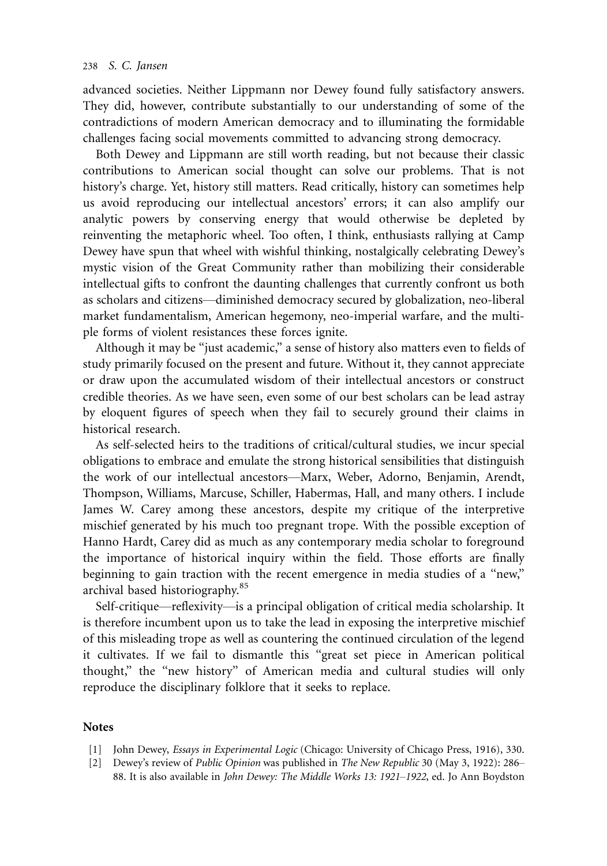advanced societies. Neither Lippmann nor Dewey found fully satisfactory answers. They did, however, contribute substantially to our understanding of some of the contradictions of modern American democracy and to illuminating the formidable challenges facing social movements committed to advancing strong democracy.

Both Dewey and Lippmann are still worth reading, but not because their classic contributions to American social thought can solve our problems. That is not history's charge. Yet, history still matters. Read critically, history can sometimes help us avoid reproducing our intellectual ancestors' errors; it can also amplify our analytic powers by conserving energy that would otherwise be depleted by reinventing the metaphoric wheel. Too often, I think, enthusiasts rallying at Camp Dewey have spun that wheel with wishful thinking, nostalgically celebrating Dewey's mystic vision of the Great Community rather than mobilizing their considerable intellectual gifts to confront the daunting challenges that currently confront us both as scholars and citizens—diminished democracy secured by globalization, neo-liberal market fundamentalism, American hegemony, neo-imperial warfare, and the multiple forms of violent resistances these forces ignite.

Although it may be ''just academic,'' a sense of history also matters even to fields of study primarily focused on the present and future. Without it, they cannot appreciate or draw upon the accumulated wisdom of their intellectual ancestors or construct credible theories. As we have seen, even some of our best scholars can be lead astray by eloquent figures of speech when they fail to securely ground their claims in historical research.

As self-selected heirs to the traditions of critical/cultural studies, we incur special obligations to embrace and emulate the strong historical sensibilities that distinguish the work of our intellectual ancestors—Marx, Weber, Adorno, Benjamin, Arendt, Thompson, Williams, Marcuse, Schiller, Habermas, Hall, and many others. I include James W. Carey among these ancestors, despite my critique of the interpretive mischief generated by his much too pregnant trope. With the possible exception of Hanno Hardt, Carey did as much as any contemporary media scholar to foreground the importance of historical inquiry within the field. Those efforts are finally beginning to gain traction with the recent emergence in media studies of a "new," archival based historiography.85

Self-critique—reflexivity—is a principal obligation of critical media scholarship. It is therefore incumbent upon us to take the lead in exposing the interpretive mischief of this misleading trope as well as countering the continued circulation of the legend it cultivates. If we fail to dismantle this ''great set piece in American political thought,'' the ''new history'' of American media and cultural studies will only reproduce the disciplinary folklore that it seeks to replace.

#### Notes

- [1] John Dewey, Essays in Experimental Logic (Chicago: University of Chicago Press, 1916), 330.
- [2] Dewey's review of Public Opinion was published in The New Republic 30 (May 3, 1922): 286– 88. It is also available in John Dewey: The Middle Works 13: 1921-1922, ed. Jo Ann Boydston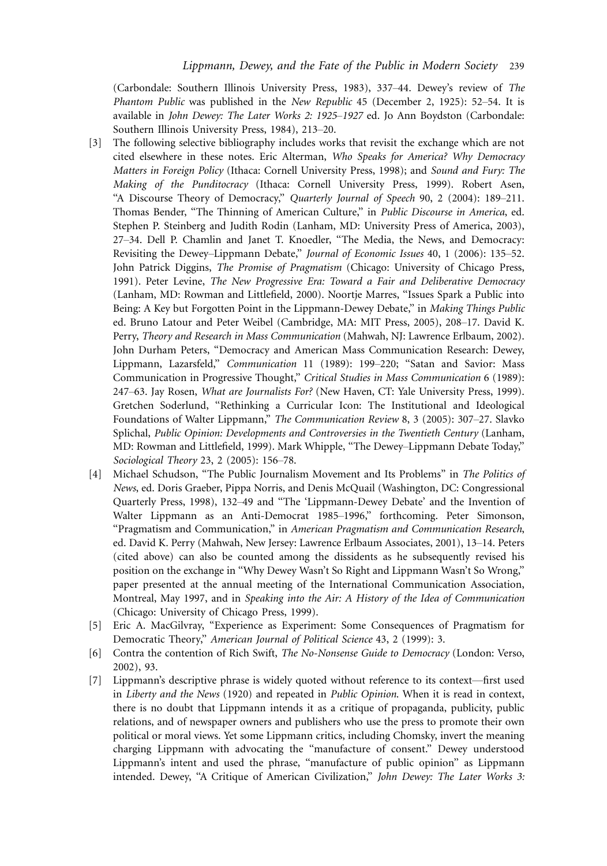(Carbondale: Southern Illinois University Press, 1983), 337-44. Dewey's review of The Phantom Public was published in the New Republic 45 (December 2, 1925): 52–54. It is available in John Dewey: The Later Works 2: 1925-1927 ed. Jo Ann Boydston (Carbondale: Southern Illinois University Press, 1984), 213-20.

- [3] The following selective bibliography includes works that revisit the exchange which are not cited elsewhere in these notes. Eric Alterman, Who Speaks for America? Why Democracy Matters in Foreign Policy (Ithaca: Cornell University Press, 1998); and Sound and Fury: The Making of the Punditocracy (Ithaca: Cornell University Press, 1999). Robert Asen, "A Discourse Theory of Democracy," Quarterly Journal of Speech 90, 2 (2004): 189-211. Thomas Bender, ''The Thinning of American Culture,'' in Public Discourse in America, ed. Stephen P. Steinberg and Judith Rodin (Lanham, MD: University Press of America, 2003), 27-34. Dell P. Chamlin and Janet T. Knoedler, ''The Media, the News, and Democracy: Revisiting the Dewey-Lippmann Debate," Journal of Economic Issues 40, 1 (2006): 135-52. John Patrick Diggins, The Promise of Pragmatism (Chicago: University of Chicago Press, 1991). Peter Levine, The New Progressive Era: Toward a Fair and Deliberative Democracy (Lanham, MD: Rowman and Littlefield, 2000). Noortje Marres, ''Issues Spark a Public into Being: A Key but Forgotten Point in the Lippmann-Dewey Debate," in Making Things Public ed. Bruno Latour and Peter Weibel (Cambridge, MA: MIT Press, 2005), 208-17. David K. Perry, Theory and Research in Mass Communication (Mahwah, NJ: Lawrence Erlbaum, 2002). John Durham Peters, ''Democracy and American Mass Communication Research: Dewey, Lippmann, Lazarsfeld," Communication 11 (1989): 199-220; "Satan and Savior: Mass Communication in Progressive Thought,'' Critical Studies in Mass Communication 6 (1989): 247–63. Jay Rosen, What are Journalists For? (New Haven, CT: Yale University Press, 1999). Gretchen Soderlund, ''Rethinking a Curricular Icon: The Institutional and Ideological Foundations of Walter Lippmann," The Communication Review 8, 3 (2005): 307–27. Slavko Splichal, Public Opinion: Developments and Controversies in the Twentieth Century (Lanham, MD: Rowman and Littlefield, 1999). Mark Whipple, ''The Dewey-Lippmann Debate Today,'' Sociological Theory 23, 2 (2005): 156-78.
- [4] Michael Schudson, "The Public Journalism Movement and Its Problems" in The Politics of News, ed. Doris Graeber, Pippa Norris, and Denis McQuail (Washington, DC: Congressional Quarterly Press, 1998), 132–49 and "The 'Lippmann-Dewey Debate' and the Invention of Walter Lippmann as an Anti-Democrat 1985-1996,'' forthcoming. Peter Simonson, ''Pragmatism and Communication,'' in American Pragmatism and Communication Research, ed. David K. Perry (Mahwah, New Jersey: Lawrence Erlbaum Associates, 2001), 13-14. Peters (cited above) can also be counted among the dissidents as he subsequently revised his position on the exchange in ''Why Dewey Wasn't So Right and Lippmann Wasn't So Wrong,'' paper presented at the annual meeting of the International Communication Association, Montreal, May 1997, and in Speaking into the Air: A History of the Idea of Communication (Chicago: University of Chicago Press, 1999).
- [5] Eric A. MacGilvray, ''Experience as Experiment: Some Consequences of Pragmatism for Democratic Theory," American Journal of Political Science 43, 2 (1999): 3.
- [6] Contra the contention of Rich Swift, The No-Nonsense Guide to Democracy (London: Verso, 2002), 93.
- [7] Lippmann's descriptive phrase is widely quoted without reference to its context—first used in Liberty and the News (1920) and repeated in Public Opinion. When it is read in context, there is no doubt that Lippmann intends it as a critique of propaganda, publicity, public relations, and of newspaper owners and publishers who use the press to promote their own political or moral views. Yet some Lippmann critics, including Chomsky, invert the meaning charging Lippmann with advocating the ''manufacture of consent.'' Dewey understood Lippmann's intent and used the phrase, ''manufacture of public opinion'' as Lippmann intended. Dewey, "A Critique of American Civilization," John Dewey: The Later Works 3: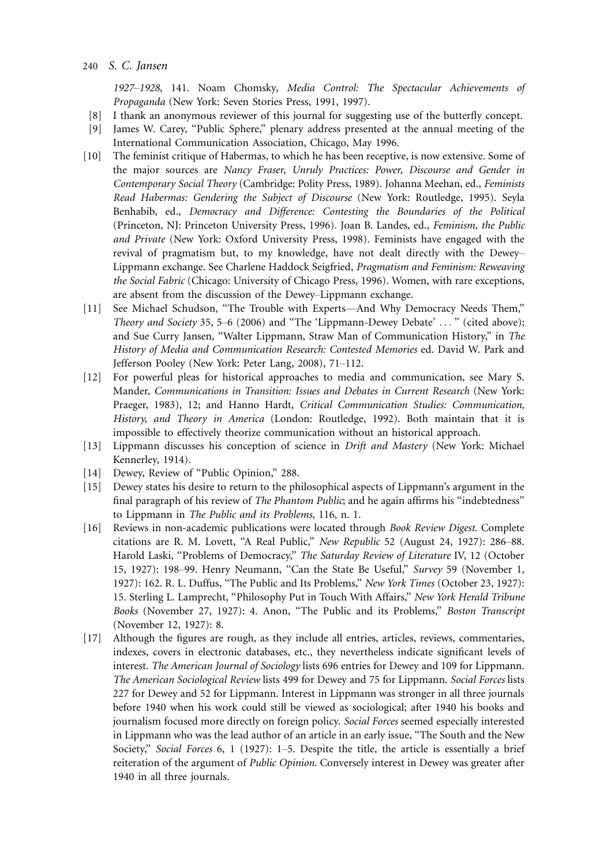1927-1928, 141. Noam Chomsky, Media Control: The Spectacular Achievements of Propaganda (New York: Seven Stories Press, 1991, 1997).

- [8] I thank an anonymous reviewer of this journal for suggesting use of the butterfly concept.
- [9] James W. Carey, ''Public Sphere,'' plenary address presented at the annual meeting of the International Communication Association, Chicago, May 1996.
- [10] The feminist critique of Habermas, to which he has been receptive, is now extensive. Some of the major sources are Nancy Fraser, Unruly Practices: Power, Discourse and Gender in Contemporary Social Theory (Cambridge: Polity Press, 1989). Johanna Meehan, ed., Feminists Read Habermas: Gendering the Subject of Discourse (New York: Routledge, 1995). Seyla Benhabib, ed., Democracy and Difference: Contesting the Boundaries of the Political (Princeton, NJ: Princeton University Press, 1996). Joan B. Landes, ed., Feminism, the Public and Private (New York: Oxford University Press, 1998). Feminists have engaged with the revival of pragmatism but, to my knowledge, have not dealt directly with the Dewey- Lippmann exchange. See Charlene Haddock Seigfried, Pragmatism and Feminism: Reweaving the Social Fabric (Chicago: University of Chicago Press, 1996). Women, with rare exceptions, are absent from the discussion of the Dewey-Lippmann exchange.
- [11] See Michael Schudson, "The Trouble with Experts-And Why Democracy Needs Them," Theory and Society 35, 5-6 (2006) and "The 'Lippmann-Dewey Debate' ..." (cited above); and Sue Curry Jansen, ''Walter Lippmann, Straw Man of Communication History,'' in The History of Media and Communication Research: Contested Memories ed. David W. Park and Jefferson Pooley (New York: Peter Lang, 2008), 71-112.
- [12] For powerful pleas for historical approaches to media and communication, see Mary S. Mander, Communications in Transition: Issues and Debates in Current Research (New York: Praeger, 1983), 12; and Hanno Hardt, Critical Communication Studies: Communication, History, and Theory in America (London: Routledge, 1992). Both maintain that it is impossible to effectively theorize communication without an historical approach.
- [13] Lippmann discusses his conception of science in Drift and Mastery (New York: Michael Kennerley, 1914).
- [14] Dewey, Review of "Public Opinion," 288.
- [15] Dewey states his desire to return to the philosophical aspects of Lippmann's argument in the final paragraph of his review of The Phantom Public; and he again affirms his ''indebtedness'' to Lippmann in The Public and its Problems, 116, n. 1.
- [16] Reviews in non-academic publications were located through Book Review Digest. Complete citations are R. M. Lovett, "A Real Public," New Republic 52 (August 24, 1927): 286-88. Harold Laski, "Problems of Democracy," The Saturday Review of Literature IV, 12 (October 15, 1927): 198-99. Henry Neumann, "Can the State Be Useful," Survey 59 (November 1, 1927): 162. R. L. Duffus, "The Public and Its Problems," New York Times (October 23, 1927): 15. Sterling L. Lamprecht, "Philosophy Put in Touch With Affairs," New York Herald Tribune Books (November 27, 1927): 4. Anon, ''The Public and its Problems,'' Boston Transcript (November 12, 1927): 8.
- [17] Although the figures are rough, as they include all entries, articles, reviews, commentaries, indexes, covers in electronic databases, etc., they nevertheless indicate significant levels of interest. The American Journal of Sociology lists 696 entries for Dewey and 109 for Lippmann. The American Sociological Review lists 499 for Dewey and 75 for Lippmann. Social Forces lists 227 for Dewey and 52 for Lippmann. Interest in Lippmann was stronger in all three journals before 1940 when his work could still be viewed as sociological; after 1940 his books and journalism focused more directly on foreign policy. Social Forces seemed especially interested in Lippmann who was the lead author of an article in an early issue, ''The South and the New Society," Social Forces 6, 1 (1927): 1-5. Despite the title, the article is essentially a brief reiteration of the argument of Public Opinion. Conversely interest in Dewey was greater after 1940 in all three journals.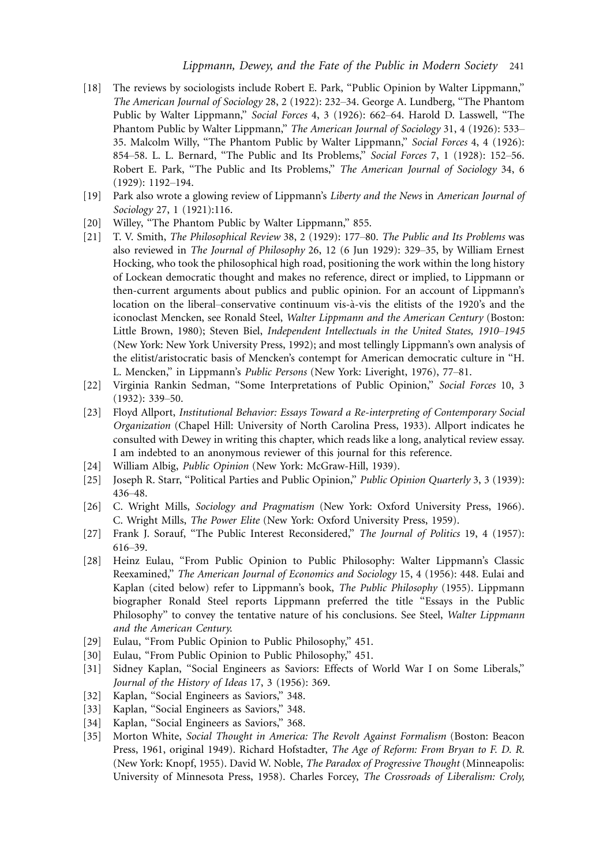- [18] The reviews by sociologists include Robert E. Park, ''Public Opinion by Walter Lippmann,'' The American Journal of Sociology 28, 2 (1922): 232-34. George A. Lundberg, ''The Phantom Public by Walter Lippmann," Social Forces 4, 3 (1926): 662–64. Harold D. Lasswell, "The Phantom Public by Walter Lippmann," The American Journal of Sociology 31, 4 (1926): 533– 35. Malcolm Willy, ''The Phantom Public by Walter Lippmann,'' Social Forces 4, 4 (1926): 854-58. L. L. Bernard, ''The Public and Its Problems,'' Social Forces 7, 1 (1928): 152-56. Robert E. Park, "The Public and Its Problems," The American Journal of Sociology 34, 6 (1929): 1192-194.
- [19] Park also wrote a glowing review of Lippmann's Liberty and the News in American Journal of Sociology 27, 1 (1921):116.
- [20] Willey, "The Phantom Public by Walter Lippmann," 855.
- [21] T. V. Smith, The Philosophical Review 38, 2 (1929): 177-80. The Public and Its Problems was also reviewed in The Journal of Philosophy 26, 12 (6 Jun 1929): 329-35, by William Ernest Hocking, who took the philosophical high road, positioning the work within the long history of Lockean democratic thought and makes no reference, direct or implied, to Lippmann or then-current arguments about publics and public opinion. For an account of Lippmann's location on the liberal–conservative continuum vis-à-vis the elitists of the 1920's and the iconoclast Mencken, see Ronald Steel, Walter Lippmann and the American Century (Boston: Little Brown, 1980); Steven Biel, Independent Intellectuals in the United States, 1910-1945 (New York: New York University Press, 1992); and most tellingly Lippmann's own analysis of the elitist/aristocratic basis of Mencken's contempt for American democratic culture in ''H. L. Mencken," in Lippmann's Public Persons (New York: Liveright, 1976), 77-81.
- [22] Virginia Rankin Sedman, ''Some Interpretations of Public Opinion,'' Social Forces 10, 3 (1932): 339-50.
- [23] Floyd Allport, Institutional Behavior: Essays Toward a Re-interpreting of Contemporary Social Organization (Chapel Hill: University of North Carolina Press, 1933). Allport indicates he consulted with Dewey in writing this chapter, which reads like a long, analytical review essay. I am indebted to an anonymous reviewer of this journal for this reference.
- [24] William Albig, Public Opinion (New York: McGraw-Hill, 1939).
- [25] Joseph R. Starr, "Political Parties and Public Opinion," Public Opinion Quarterly 3, 3 (1939): 436-48.
- [26] C. Wright Mills, Sociology and Pragmatism (New York: Oxford University Press, 1966). C. Wright Mills, The Power Elite (New York: Oxford University Press, 1959).
- [27] Frank J. Sorauf, "The Public Interest Reconsidered," The Journal of Politics 19, 4 (1957): 616-39.
- [28] Heinz Eulau, ''From Public Opinion to Public Philosophy: Walter Lippmann's Classic Reexamined,'' The American Journal of Economics and Sociology 15, 4 (1956): 448. Eulai and Kaplan (cited below) refer to Lippmann's book, The Public Philosophy (1955). Lippmann biographer Ronald Steel reports Lippmann preferred the title ''Essays in the Public Philosophy" to convey the tentative nature of his conclusions. See Steel, Walter Lippmann and the American Century.
- [29] Eulau, "From Public Opinion to Public Philosophy," 451.
- [30] Eulau, "From Public Opinion to Public Philosophy," 451.
- [31] Sidney Kaplan, "Social Engineers as Saviors: Effects of World War I on Some Liberals," Journal of the History of Ideas 17, 3 (1956): 369.
- [32] Kaplan, "Social Engineers as Saviors," 348.
- [33] Kaplan, "Social Engineers as Saviors," 348.
- [34] Kaplan, "Social Engineers as Saviors," 368.
- [35] Morton White, Social Thought in America: The Revolt Against Formalism (Boston: Beacon Press, 1961, original 1949). Richard Hofstadter, The Age of Reform: From Bryan to F. D. R. (New York: Knopf, 1955). David W. Noble, The Paradox of Progressive Thought (Minneapolis: University of Minnesota Press, 1958). Charles Forcey, The Crossroads of Liberalism: Croly,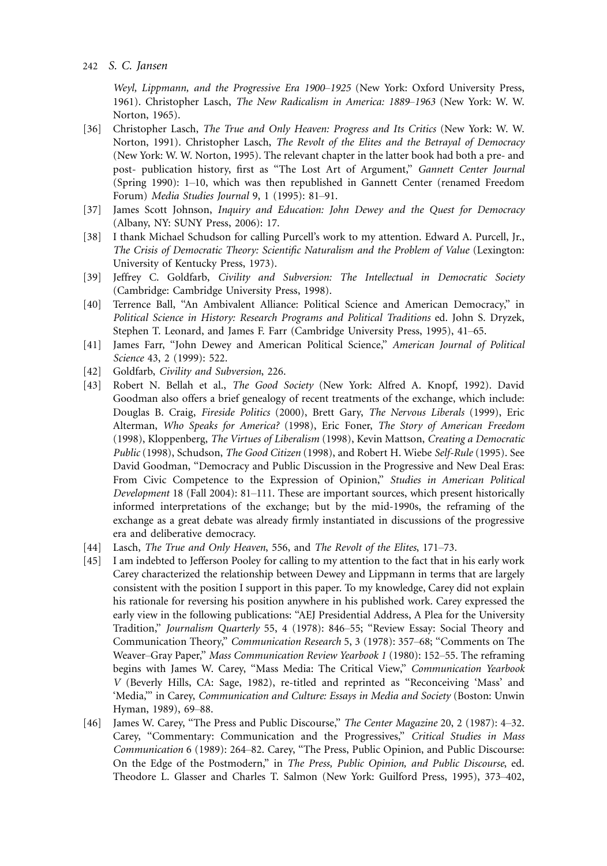Weyl, Lippmann, and the Progressive Era 1900-1925 (New York: Oxford University Press, 1961). Christopher Lasch, The New Radicalism in America: 1889-1963 (New York: W. W. Norton, 1965).

- [36] Christopher Lasch, The True and Only Heaven: Progress and Its Critics (New York: W. W. Norton, 1991). Christopher Lasch, The Revolt of the Elites and the Betrayal of Democracy (New York: W. W. Norton, 1995). The relevant chapter in the latter book had both a pre- and post- publication history, first as "The Lost Art of Argument," Gannett Center Journal (Spring 1990): 1-10, which was then republished in Gannett Center (renamed Freedom Forum) Media Studies Journal 9, 1 (1995): 81-91.
- [37] James Scott Johnson, Inquiry and Education: John Dewey and the Quest for Democracy (Albany, NY: SUNY Press, 2006): 17.
- [38] I thank Michael Schudson for calling Purcell's work to my attention. Edward A. Purcell, Jr., The Crisis of Democratic Theory: Scientific Naturalism and the Problem of Value (Lexington: University of Kentucky Press, 1973).
- [39] Jeffrey C. Goldfarb, Civility and Subversion: The Intellectual in Democratic Society (Cambridge: Cambridge University Press, 1998).
- [40] Terrence Ball, ''An Ambivalent Alliance: Political Science and American Democracy,'' in Political Science in History: Research Programs and Political Traditions ed. John S. Dryzek, Stephen T. Leonard, and James F. Farr (Cambridge University Press, 1995), 41-65.
- [41] James Farr, "John Dewey and American Political Science," American Journal of Political Science 43, 2 (1999): 522.
- [42] Goldfarb, Civility and Subversion, 226.
- [43] Robert N. Bellah et al., The Good Society (New York: Alfred A. Knopf, 1992). David Goodman also offers a brief genealogy of recent treatments of the exchange, which include: Douglas B. Craig, Fireside Politics (2000), Brett Gary, The Nervous Liberals (1999), Eric Alterman, Who Speaks for America? (1998), Eric Foner, The Story of American Freedom (1998), Kloppenberg, The Virtues of Liberalism (1998), Kevin Mattson, Creating a Democratic Public (1998), Schudson, The Good Citizen (1998), and Robert H. Wiebe Self-Rule (1995). See David Goodman, ''Democracy and Public Discussion in the Progressive and New Deal Eras: From Civic Competence to the Expression of Opinion," Studies in American Political Development 18 (Fall 2004): 81-111. These are important sources, which present historically informed interpretations of the exchange; but by the mid-1990s, the reframing of the exchange as a great debate was already firmly instantiated in discussions of the progressive era and deliberative democracy.
- [44] Lasch, The True and Only Heaven, 556, and The Revolt of the Elites, 171–73.
- [45] I am indebted to Jefferson Pooley for calling to my attention to the fact that in his early work Carey characterized the relationship between Dewey and Lippmann in terms that are largely consistent with the position I support in this paper. To my knowledge, Carey did not explain his rationale for reversing his position anywhere in his published work. Carey expressed the early view in the following publications: ''AEJ Presidential Address, A Plea for the University Tradition," Journalism Quarterly 55, 4 (1978): 846-55; "Review Essay: Social Theory and Communication Theory," *Communication Research* 5, 3 (1978): 357–68; "Comments on The Weaver-Gray Paper,'' Mass Communication Review Yearbook 1 (1980): 152-55. The reframing begins with James W. Carey, "Mass Media: The Critical View," Communication Yearbook V (Beverly Hills, CA: Sage, 1982), re-titled and reprinted as ''Reconceiving 'Mass' and 'Media,''' in Carey, Communication and Culture: Essays in Media and Society (Boston: Unwin Hyman, 1989), 69-88.
- [46] James W. Carey, "The Press and Public Discourse," The Center Magazine 20, 2 (1987): 4-32. Carey, ''Commentary: Communication and the Progressives,'' Critical Studies in Mass Communication 6 (1989): 264-82. Carey, ''The Press, Public Opinion, and Public Discourse: On the Edge of the Postmodern,'' in The Press, Public Opinion, and Public Discourse, ed. Theodore L. Glasser and Charles T. Salmon (New York: Guilford Press, 1995), 373-402,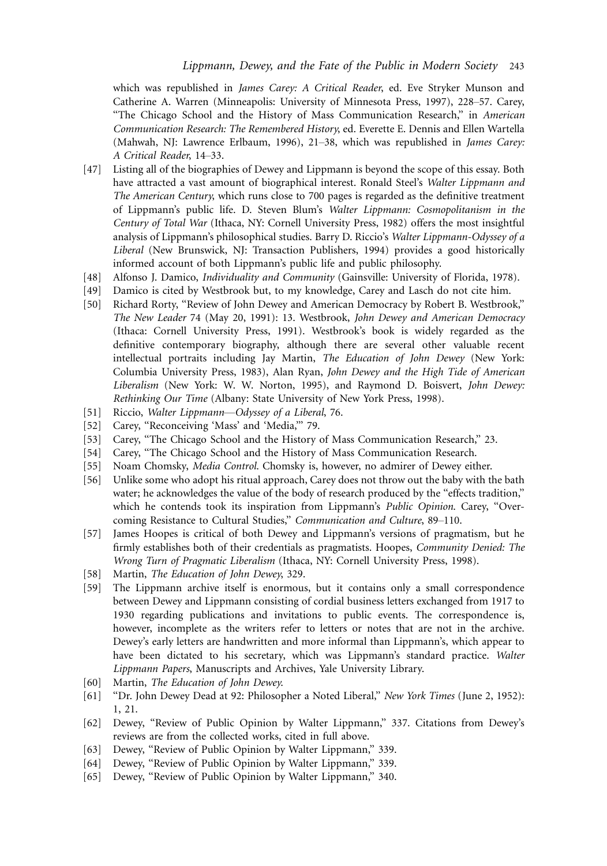which was republished in *James Carey: A Critical Reader*, ed. Eve Stryker Munson and Catherine A. Warren (Minneapolis: University of Minnesota Press, 1997), 228-57. Carey, "The Chicago School and the History of Mass Communication Research," in American Communication Research: The Remembered History, ed. Everette E. Dennis and Ellen Wartella (Mahwah, NJ: Lawrence Erlbaum, 1996), 21-38, which was republished in James Carey: A Critical Reader, 14-33.

- [47] Listing all of the biographies of Dewey and Lippmann is beyond the scope of this essay. Both have attracted a vast amount of biographical interest. Ronald Steel's Walter Lippmann and The American Century, which runs close to 700 pages is regarded as the definitive treatment of Lippmann's public life. D. Steven Blum's Walter Lippmann: Cosmopolitanism in the Century of Total War (Ithaca, NY: Cornell University Press, 1982) offers the most insightful analysis of Lippmann's philosophical studies. Barry D. Riccio's Walter Lippmann-Odyssey of a Liberal (New Brunswick, NJ: Transaction Publishers, 1994) provides a good historically informed account of both Lippmann's public life and public philosophy.
- [48] Alfonso J. Damico, *Individuality and Community* (Gainsville: University of Florida, 1978).
- [49] Damico is cited by Westbrook but, to my knowledge, Carey and Lasch do not cite him.
- [50] Richard Rorty, ''Review of John Dewey and American Democracy by Robert B. Westbrook,'' The New Leader 74 (May 20, 1991): 13. Westbrook, John Dewey and American Democracy (Ithaca: Cornell University Press, 1991). Westbrook's book is widely regarded as the definitive contemporary biography, although there are several other valuable recent intellectual portraits including Jay Martin, The Education of John Dewey (New York: Columbia University Press, 1983), Alan Ryan, John Dewey and the High Tide of American Liberalism (New York: W. W. Norton, 1995), and Raymond D. Boisvert, John Dewey: Rethinking Our Time (Albany: State University of New York Press, 1998).
- [51] Riccio, Walter Lippmann—Odyssey of a Liberal, 76.
- [52] Carey, "Reconceiving 'Mass' and 'Media," 79.
- [53] Carey, "The Chicago School and the History of Mass Communication Research," 23.
- [54] Carey, "The Chicago School and the History of Mass Communication Research.
- [55] Noam Chomsky, Media Control. Chomsky is, however, no admirer of Dewey either.
- [56] Unlike some who adopt his ritual approach, Carey does not throw out the baby with the bath water; he acknowledges the value of the body of research produced by the "effects tradition," which he contends took its inspiration from Lippmann's *Public Opinion*. Carey, "Overcoming Resistance to Cultural Studies," Communication and Culture, 89-110.
- [57] James Hoopes is critical of both Dewey and Lippmann's versions of pragmatism, but he firmly establishes both of their credentials as pragmatists. Hoopes, Community Denied: The Wrong Turn of Pragmatic Liberalism (Ithaca, NY: Cornell University Press, 1998).
- [58] Martin, The Education of John Dewey, 329.
- [59] The Lippmann archive itself is enormous, but it contains only a small correspondence between Dewey and Lippmann consisting of cordial business letters exchanged from 1917 to 1930 regarding publications and invitations to public events. The correspondence is, however, incomplete as the writers refer to letters or notes that are not in the archive. Dewey's early letters are handwritten and more informal than Lippmann's, which appear to have been dictated to his secretary, which was Lippmann's standard practice. Walter Lippmann Papers, Manuscripts and Archives, Yale University Library.
- [60] Martin, The Education of John Dewey.
- [61] ''Dr. John Dewey Dead at 92: Philosopher a Noted Liberal,'' New York Times (June 2, 1952): 1, 21.
- [62] Dewey, "Review of Public Opinion by Walter Lippmann," 337. Citations from Dewey's reviews are from the collected works, cited in full above.
- [63] Dewey, "Review of Public Opinion by Walter Lippmann," 339.
- [64] Dewey, "Review of Public Opinion by Walter Lippmann," 339.
- [65] Dewey, "Review of Public Opinion by Walter Lippmann," 340.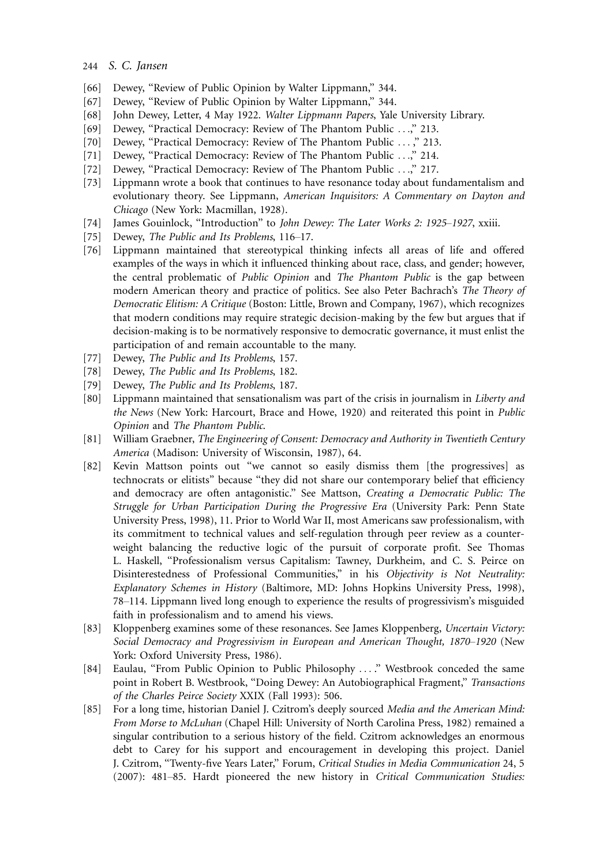- [66] Dewey, "Review of Public Opinion by Walter Lippmann," 344.
- [67] Dewey, "Review of Public Opinion by Walter Lippmann," 344.
- [68] John Dewey, Letter, 4 May 1922. Walter Lippmann Papers, Yale University Library.
- [69] Dewey, "Practical Democracy: Review of The Phantom Public ...," 213.
- [70] Dewey, "Practical Democracy: Review of The Phantom Public ...," 213.
- [71] Dewey, "Practical Democracy: Review of The Phantom Public ...," 214.
- [72] Dewey, "Practical Democracy: Review of The Phantom Public ...," 217.
- [73] Lippmann wrote a book that continues to have resonance today about fundamentalism and evolutionary theory. See Lippmann, American Inquisitors: A Commentary on Dayton and Chicago (New York: Macmillan, 1928).
- [74] James Gouinlock, "Introduction" to John Dewey: The Later Works 2: 1925–1927, xxiii.
- [75] Dewey, The Public and Its Problems, 116-17.
- [76] Lippmann maintained that stereotypical thinking infects all areas of life and offered examples of the ways in which it influenced thinking about race, class, and gender; however, the central problematic of Public Opinion and The Phantom Public is the gap between modern American theory and practice of politics. See also Peter Bachrach's The Theory of Democratic Elitism: A Critique (Boston: Little, Brown and Company, 1967), which recognizes that modern conditions may require strategic decision-making by the few but argues that if decision-making is to be normatively responsive to democratic governance, it must enlist the participation of and remain accountable to the many.
- [77] Dewey, The Public and Its Problems, 157.
- [78] Dewey, The Public and Its Problems, 182.
- [79] Dewey, The Public and Its Problems, 187.
- [80] Lippmann maintained that sensationalism was part of the crisis in journalism in Liberty and the News (New York: Harcourt, Brace and Howe, 1920) and reiterated this point in Public Opinion and The Phantom Public.
- [81] William Graebner, The Engineering of Consent: Democracy and Authority in Twentieth Century America (Madison: University of Wisconsin, 1987), 64.
- [82] Kevin Mattson points out ''we cannot so easily dismiss them [the progressives] as technocrats or elitists'' because ''they did not share our contemporary belief that efficiency and democracy are often antagonistic.'' See Mattson, Creating a Democratic Public: The Struggle for Urban Participation During the Progressive Era (University Park: Penn State University Press, 1998), 11. Prior to World War II, most Americans saw professionalism, with its commitment to technical values and self-regulation through peer review as a counterweight balancing the reductive logic of the pursuit of corporate profit. See Thomas L. Haskell, ''Professionalism versus Capitalism: Tawney, Durkheim, and C. S. Peirce on Disinterestedness of Professional Communities," in his Objectivity is Not Neutrality: Explanatory Schemes in History (Baltimore, MD: Johns Hopkins University Press, 1998), 78-114. Lippmann lived long enough to experience the results of progressivism's misguided faith in professionalism and to amend his views.
- [83] Kloppenberg examines some of these resonances. See James Kloppenberg, Uncertain Victory: Social Democracy and Progressivism in European and American Thought, 1870-1920 (New York: Oxford University Press, 1986).
- [84] Eaulau, "From Public Opinion to Public Philosophy ...." Westbrook conceded the same point in Robert B. Westbrook, ''Doing Dewey: An Autobiographical Fragment,'' Transactions of the Charles Peirce Society XXIX (Fall 1993): 506.
- [85] For a long time, historian Daniel J. Czitrom's deeply sourced Media and the American Mind: From Morse to McLuhan (Chapel Hill: University of North Carolina Press, 1982) remained a singular contribution to a serious history of the field. Czitrom acknowledges an enormous debt to Carey for his support and encouragement in developing this project. Daniel J. Czitrom, ''Twenty-five Years Later,'' Forum, Critical Studies in Media Communication 24, 5 (2007): 481-85. Hardt pioneered the new history in Critical Communication Studies: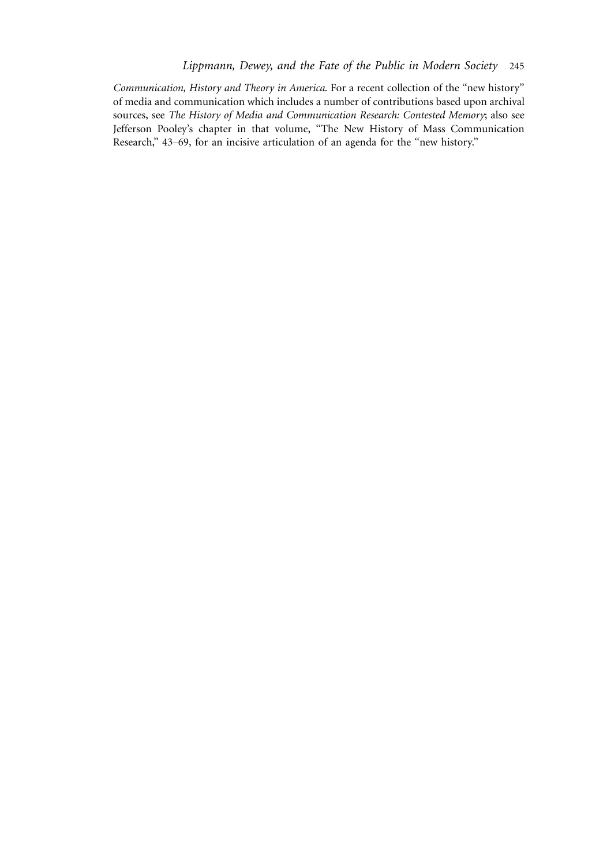# Lippmann, Dewey, and the Fate of the Public in Modern Society 245

Communication, History and Theory in America. For a recent collection of the ''new history'' of media and communication which includes a number of contributions based upon archival sources, see The History of Media and Communication Research: Contested Memory; also see Jefferson Pooley's chapter in that volume, ''The New History of Mass Communication Research,'' 43-69, for an incisive articulation of an agenda for the ''new history.''